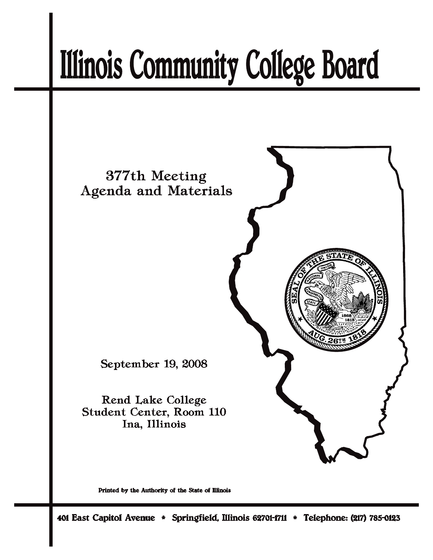# **Illinois Community College Board**



Printed by the Authority of the State of Illinois

401 East Capitol Avenue \* Springfield, Illinois 62701-1711 \* Telephone: (217) 785-0123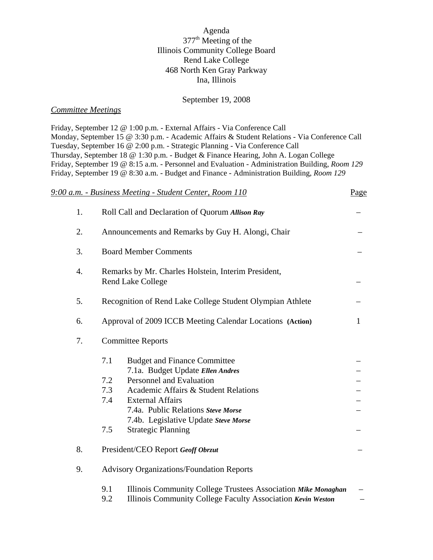#### Agenda 377th Meeting of the Illinois Community College Board Rend Lake College 468 North Ken Gray Parkway Ina, Illinois

#### September 19, 2008

#### *Committee Meetings*

Friday, September 12 @ 1:00 p.m. - External Affairs - Via Conference Call Monday, September 15 @ 3:30 p.m. - Academic Affairs & Student Relations - Via Conference Call Tuesday, September 16 @ 2:00 p.m. - Strategic Planning - Via Conference Call Thursday, September 18 @ 1:30 p.m. - Budget & Finance Hearing, John A. Logan College Friday, September 19 @ 8:15 a.m. - Personnel and Evaluation - Administration Building, *Room 129* Friday, September 19 @ 8:30 a.m. - Budget and Finance - Administration Building, *Room 129*

|                                                                                                     | 9:00 a.m. - Business Meeting - Student Center, Room 110                                                                                                                                                                                                                                                              | Page |  |  |
|-----------------------------------------------------------------------------------------------------|----------------------------------------------------------------------------------------------------------------------------------------------------------------------------------------------------------------------------------------------------------------------------------------------------------------------|------|--|--|
| 1.                                                                                                  | Roll Call and Declaration of Quorum Allison Ray                                                                                                                                                                                                                                                                      |      |  |  |
| 2.                                                                                                  | Announcements and Remarks by Guy H. Alongi, Chair                                                                                                                                                                                                                                                                    |      |  |  |
| 3.                                                                                                  | <b>Board Member Comments</b>                                                                                                                                                                                                                                                                                         |      |  |  |
| $\overline{4}$ .<br>Remarks by Mr. Charles Holstein, Interim President,<br><b>Rend Lake College</b> |                                                                                                                                                                                                                                                                                                                      |      |  |  |
| 5.                                                                                                  | Recognition of Rend Lake College Student Olympian Athlete                                                                                                                                                                                                                                                            |      |  |  |
| 6.                                                                                                  | Approval of 2009 ICCB Meeting Calendar Locations (Action)                                                                                                                                                                                                                                                            | 1    |  |  |
| 7.                                                                                                  | <b>Committee Reports</b>                                                                                                                                                                                                                                                                                             |      |  |  |
|                                                                                                     | 7.1<br><b>Budget and Finance Committee</b><br>7.1a. Budget Update Ellen Andres<br>7.2<br>Personnel and Evaluation<br>7.3<br>Academic Affairs & Student Relations<br>7.4<br><b>External Affairs</b><br>7.4a. Public Relations Steve Morse<br>7.4b. Legislative Update Steve Morse<br>7.5<br><b>Strategic Planning</b> |      |  |  |
| 8.                                                                                                  | President/CEO Report Geoff Obrzut                                                                                                                                                                                                                                                                                    |      |  |  |
| 9.                                                                                                  | <b>Advisory Organizations/Foundation Reports</b>                                                                                                                                                                                                                                                                     |      |  |  |
|                                                                                                     | 9.1<br>Illinois Community College Trustees Association Mike Monaghan<br>9.2<br>Illinois Community College Faculty Association Kevin Weston                                                                                                                                                                           |      |  |  |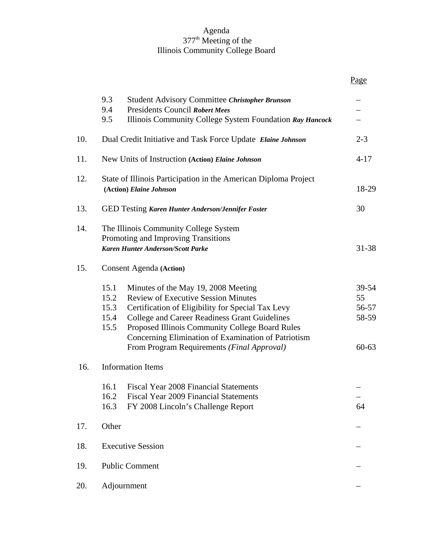#### Agenda 377th Meeting of the Illinois Community College Board

|     |                                                                                                                                                                                                                                                                                                                                                                                         | Page                                       |  |
|-----|-----------------------------------------------------------------------------------------------------------------------------------------------------------------------------------------------------------------------------------------------------------------------------------------------------------------------------------------------------------------------------------------|--------------------------------------------|--|
|     | 9.3<br><b>Student Advisory Committee Christopher Brunson</b><br>9.4<br><b>Presidents Council Robert Mees</b><br>9.5<br>Illinois Community College System Foundation Ray Hancock                                                                                                                                                                                                         |                                            |  |
| 10. | Dual Credit Initiative and Task Force Update Elaine Johnson                                                                                                                                                                                                                                                                                                                             | $2 - 3$                                    |  |
| 11. | New Units of Instruction (Action) Elaine Johnson                                                                                                                                                                                                                                                                                                                                        | $4 - 17$                                   |  |
| 12. | State of Illinois Participation in the American Diploma Project<br>(Action) Elaine Johnson                                                                                                                                                                                                                                                                                              | 18-29                                      |  |
| 13. | <b>GED Testing Karen Hunter Anderson/Jennifer Foster</b>                                                                                                                                                                                                                                                                                                                                | 30                                         |  |
| 14. | The Illinois Community College System<br>Promoting and Improving Transitions<br><b>Karen Hunter Anderson/Scott Parke</b>                                                                                                                                                                                                                                                                | 31-38                                      |  |
| 15. | <b>Consent Agenda</b> (Action)                                                                                                                                                                                                                                                                                                                                                          |                                            |  |
|     | 15.1<br>Minutes of the May 19, 2008 Meeting<br>15.2<br><b>Review of Executive Session Minutes</b><br>15.3<br>Certification of Eligibility for Special Tax Levy<br>College and Career Readiness Grant Guidelines<br>15.4<br>15.5<br>Proposed Illinois Community College Board Rules<br>Concerning Elimination of Examination of Patriotism<br>From Program Requirements (Final Approval) | 39-54<br>55<br>56-57<br>58-59<br>$60 - 63$ |  |
| 16. | <b>Information Items</b>                                                                                                                                                                                                                                                                                                                                                                |                                            |  |
|     | 16.1<br><b>Fiscal Year 2008 Financial Statements</b><br>Fiscal Year 2009 Financial Statements<br>16.2<br>16.3<br>FY 2008 Lincoln's Challenge Report                                                                                                                                                                                                                                     | 64                                         |  |
| 17. | Other                                                                                                                                                                                                                                                                                                                                                                                   |                                            |  |
| 18. | <b>Executive Session</b>                                                                                                                                                                                                                                                                                                                                                                |                                            |  |
| 19. | <b>Public Comment</b>                                                                                                                                                                                                                                                                                                                                                                   |                                            |  |
| 20. | Adjournment                                                                                                                                                                                                                                                                                                                                                                             |                                            |  |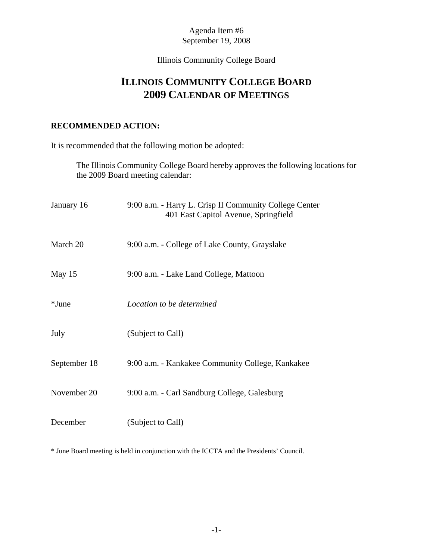# Illinois Community College Board

# **ILLINOIS COMMUNITY COLLEGE BOARD 2009 CALENDAR OF MEETINGS**

#### **RECOMMENDED ACTION:**

It is recommended that the following motion be adopted:

The Illinois Community College Board hereby approves the following locations for the 2009 Board meeting calendar:

| January 16   | 9:00 a.m. - Harry L. Crisp II Community College Center<br>401 East Capitol Avenue, Springfield |
|--------------|------------------------------------------------------------------------------------------------|
| March 20     | 9:00 a.m. - College of Lake County, Grayslake                                                  |
| May 15       | 9:00 a.m. - Lake Land College, Mattoon                                                         |
| $*$ June     | Location to be determined                                                                      |
| July         | (Subject to Call)                                                                              |
| September 18 | 9:00 a.m. - Kankakee Community College, Kankakee                                               |
| November 20  | 9:00 a.m. - Carl Sandburg College, Galesburg                                                   |
| December     | (Subject to Call)                                                                              |

\* June Board meeting is held in conjunction with the ICCTA and the Presidents' Council.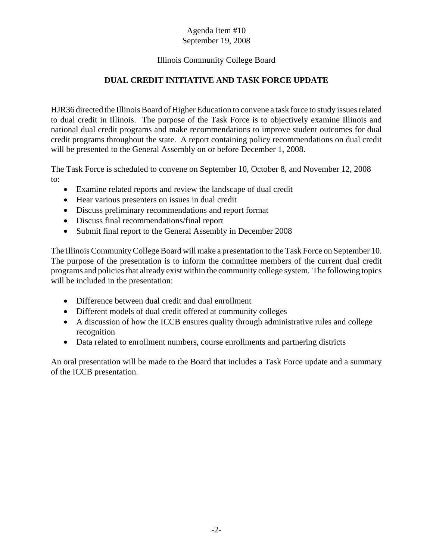#### Illinois Community College Board

# **DUAL CREDIT INITIATIVE AND TASK FORCE UPDATE**

HJR36 directed the Illinois Board of Higher Education to convene a task force to study issues related to dual credit in Illinois. The purpose of the Task Force is to objectively examine Illinois and national dual credit programs and make recommendations to improve student outcomes for dual credit programs throughout the state. A report containing policy recommendations on dual credit will be presented to the General Assembly on or before December 1, 2008.

The Task Force is scheduled to convene on September 10, October 8, and November 12, 2008 to:

- Examine related reports and review the landscape of dual credit
- Hear various presenters on issues in dual credit
- Discuss preliminary recommendations and report format
- Discuss final recommendations/final report
- Submit final report to the General Assembly in December 2008

The Illinois Community College Board will make a presentation to the Task Force on September 10. The purpose of the presentation is to inform the committee members of the current dual credit programs and policies that already exist within the community college system. The following topics will be included in the presentation:

- Difference between dual credit and dual enrollment
- Different models of dual credit offered at community colleges
- A discussion of how the ICCB ensures quality through administrative rules and college recognition
- Data related to enrollment numbers, course enrollments and partnering districts

An oral presentation will be made to the Board that includes a Task Force update and a summary of the ICCB presentation.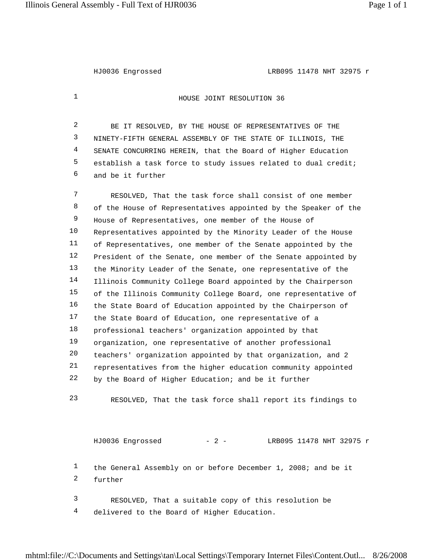HJ0036 Engrossed LRB095 11478 NHT 32975 r

**HOUSE JOINT RESOLUTION 36** 

2 BE IT RESOLVED, BY THE HOUSE OF REPRESENTATIVES OF THE NINETY-FIFTH GENERAL ASSEMBLY OF THE STATE OF ILLINOIS, THE SENATE CONCURRING HEREIN, that the Board of Higher Education establish a task force to study issues related to dual credit; and be it further

7 RESOLVED, That the task force shall consist of one member 8 of the House of Representatives appointed by the Speaker of the House of Representatives, one member of the House of Representatives appointed by the Minority Leader of the House of Representatives, one member of the Senate appointed by the President of the Senate, one member of the Senate appointed by the Minority Leader of the Senate, one representative of the Illinois Community College Board appointed by the Chairperson of the Illinois Community College Board, one representative of the State Board of Education appointed by the Chairperson of 17 the State Board of Education, one representative of a professional teachers' organization appointed by that organization, one representative of another professional teachers' organization appointed by that organization, and 2 representatives from the higher education community appointed by the Board of Higher Education; and be it further

23 RESOLVED, That the task force shall report its findings to

HJ0036 Engrossed - 2 - LRB095 11478 NHT 32975 r the General Assembly on or before December 1, 2008; and be it further 3 RESOLVED, That a suitable copy of this resolution be 4 delivered to the Board of Higher Education.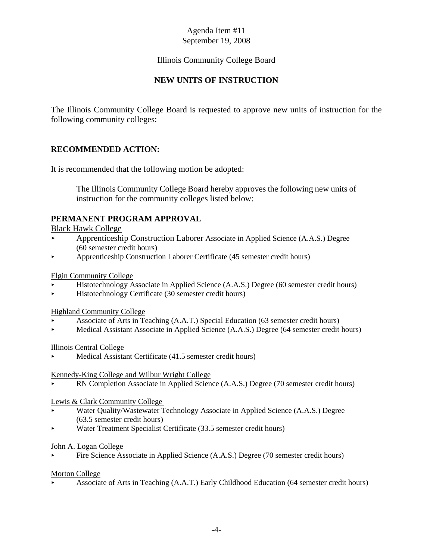#### Illinois Community College Board

# **NEW UNITS OF INSTRUCTION**

The Illinois Community College Board is requested to approve new units of instruction for the following community colleges:

#### **RECOMMENDED ACTION:**

It is recommended that the following motion be adopted:

The Illinois Community College Board hereby approves the following new units of instruction for the community colleges listed below:

#### **PERMANENT PROGRAM APPROVAL**

Black Hawk College

- < Apprenticeship Construction Laborer Associate in Applied Science (A.A.S.) Degree (60 semester credit hours)
- < Apprenticeship Construction Laborer Certificate (45 semester credit hours)

Elgin Community College

- < Histotechnology Associate in Applied Science (A.A.S.) Degree (60 semester credit hours)
- < Histotechnology Certificate (30 semester credit hours)

Highland Community College

- < Associate of Arts in Teaching (A.A.T.) Special Education (63 semester credit hours)
- < Medical Assistant Associate in Applied Science (A.A.S.) Degree (64 semester credit hours)

#### Illinois Central College

Medical Assistant Certificate (41.5 semester credit hours)

Kennedy-King College and Wilbur Wright College

RN Completion Associate in Applied Science (A.A.S.) Degree (70 semester credit hours)

#### Lewis & Clark Community College

- Water Quality/Wastewater Technology Associate in Applied Science (A.A.S.) Degree (63.5 semester credit hours)
- < Water Treatment Specialist Certificate (33.5 semester credit hours)

#### John A. Logan College

< Fire Science Associate in Applied Science (A.A.S.) Degree (70 semester credit hours)

#### Morton College

< Associate of Arts in Teaching (A.A.T.) Early Childhood Education (64 semester credit hours)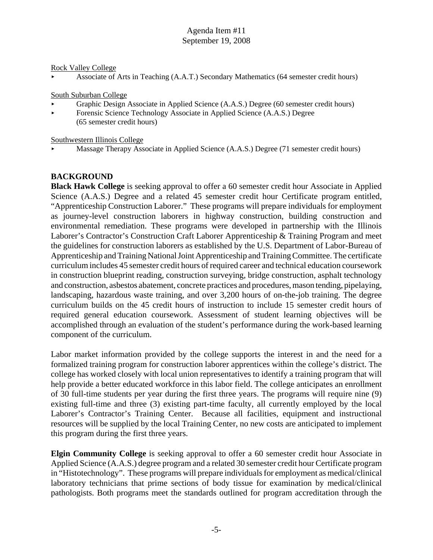Rock Valley College

< Associate of Arts in Teaching (A.A.T.) Secondary Mathematics (64 semester credit hours)

South Suburban College

- < Graphic Design Associate in Applied Science (A.A.S.) Degree (60 semester credit hours)
- Forensic Science Technology Associate in Applied Science (A.A.S.) Degree (65 semester credit hours)

Southwestern Illinois College

< Massage Therapy Associate in Applied Science (A.A.S.) Degree (71 semester credit hours)

# **BACKGROUND**

**Black Hawk College** is seeking approval to offer a 60 semester credit hour Associate in Applied Science (A.A.S.) Degree and a related 45 semester credit hour Certificate program entitled, "Apprenticeship Construction Laborer." These programs will prepare individuals for employment as journey-level construction laborers in highway construction, building construction and environmental remediation. These programs were developed in partnership with the Illinois Laborer's Contractor's Construction Craft Laborer Apprenticeship & Training Program and meet the guidelines for construction laborers as established by the U.S. Department of Labor-Bureau of Apprenticeship and Training National Joint Apprenticeship and Training Committee. The certificate curriculum includes 45 semester credit hours of required career and technical education coursework in construction blueprint reading, construction surveying, bridge construction, asphalt technology and construction, asbestos abatement, concrete practices and procedures, mason tending, pipelaying, landscaping, hazardous waste training, and over 3,200 hours of on-the-job training. The degree curriculum builds on the 45 credit hours of instruction to include 15 semester credit hours of required general education coursework. Assessment of student learning objectives will be accomplished through an evaluation of the student's performance during the work-based learning component of the curriculum.

Labor market information provided by the college supports the interest in and the need for a formalized training program for construction laborer apprentices within the college's district. The college has worked closely with local union representatives to identify a training program that will help provide a better educated workforce in this labor field. The college anticipates an enrollment of 30 full-time students per year during the first three years. The programs will require nine (9) existing full-time and three (3) existing part-time faculty, all currently employed by the local Laborer's Contractor's Training Center. Because all facilities, equipment and instructional resources will be supplied by the local Training Center, no new costs are anticipated to implement this program during the first three years.

**Elgin Community College** is seeking approval to offer a 60 semester credit hour Associate in Applied Science (A.A.S.) degree program and a related 30 semester credit hour Certificate program in "Histotechnology". These programs will prepare individuals for employment as medical/clinical laboratory technicians that prime sections of body tissue for examination by medical/clinical pathologists. Both programs meet the standards outlined for program accreditation through the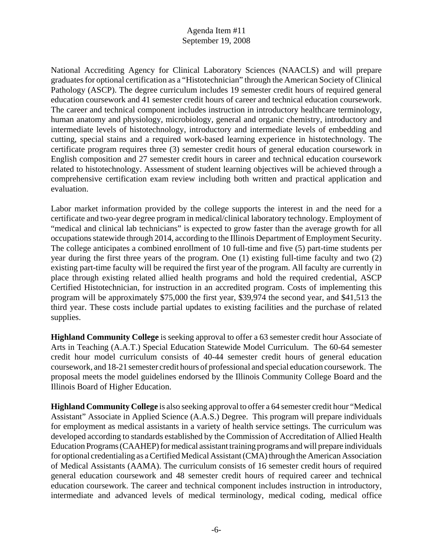National Accrediting Agency for Clinical Laboratory Sciences (NAACLS) and will prepare graduates for optional certification as a "Histotechnician" through the American Society of Clinical Pathology (ASCP). The degree curriculum includes 19 semester credit hours of required general education coursework and 41 semester credit hours of career and technical education coursework. The career and technical component includes instruction in introductory healthcare terminology, human anatomy and physiology, microbiology, general and organic chemistry, introductory and intermediate levels of histotechnology, introductory and intermediate levels of embedding and cutting, special stains and a required work-based learning experience in histotechnology. The certificate program requires three (3) semester credit hours of general education coursework in English composition and 27 semester credit hours in career and technical education coursework related to histotechnology. Assessment of student learning objectives will be achieved through a comprehensive certification exam review including both written and practical application and evaluation.

Labor market information provided by the college supports the interest in and the need for a certificate and two-year degree program in medical/clinical laboratory technology. Employment of "medical and clinical lab technicians" is expected to grow faster than the average growth for all occupations statewide through 2014, according to the Illinois Department of Employment Security. The college anticipates a combined enrollment of 10 full-time and five (5) part-time students per year during the first three years of the program. One (1) existing full-time faculty and two (2) existing part-time faculty will be required the first year of the program. All faculty are currently in place through existing related allied health programs and hold the required credential, ASCP Certified Histotechnician, for instruction in an accredited program. Costs of implementing this program will be approximately \$75,000 the first year, \$39,974 the second year, and \$41,513 the third year. These costs include partial updates to existing facilities and the purchase of related supplies.

**Highland Community College** is seeking approval to offer a 63 semester credit hour Associate of Arts in Teaching (A.A.T.) Special Education Statewide Model Curriculum. The 60-64 semester credit hour model curriculum consists of 40-44 semester credit hours of general education coursework, and 18-21 semester credit hours of professional and special education coursework. The proposal meets the model guidelines endorsed by the Illinois Community College Board and the Illinois Board of Higher Education.

**Highland Community College** is also seeking approval to offer a 64 semester credit hour "Medical Assistant" Associate in Applied Science (A.A.S.) Degree. This program will prepare individuals for employment as medical assistants in a variety of health service settings. The curriculum was developed according to standards established by the Commission of Accreditation of Allied Health Education Programs (CAAHEP) for medical assistant training programs and will prepare individuals for optional credentialing as a Certified Medical Assistant (CMA) through the American Association of Medical Assistants (AAMA). The curriculum consists of 16 semester credit hours of required general education coursework and 48 semester credit hours of required career and technical education coursework. The career and technical component includes instruction in introductory, intermediate and advanced levels of medical terminology, medical coding, medical office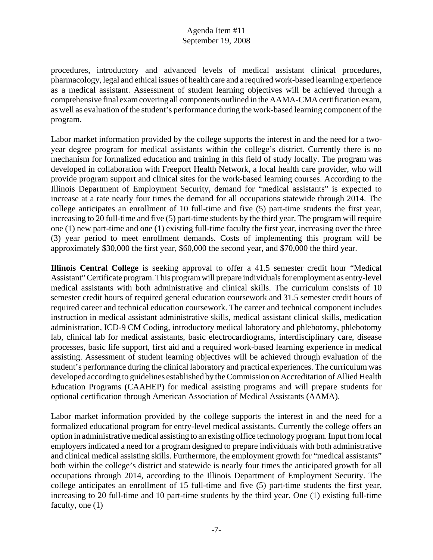procedures, introductory and advanced levels of medical assistant clinical procedures, pharmacology, legal and ethical issues of health care and a required work-based learning experience as a medical assistant. Assessment of student learning objectives will be achieved through a comprehensive final exam covering all components outlined in the AAMA-CMA certification exam, as well as evaluation of the student's performance during the work-based learning component of the program.

Labor market information provided by the college supports the interest in and the need for a twoyear degree program for medical assistants within the college's district. Currently there is no mechanism for formalized education and training in this field of study locally. The program was developed in collaboration with Freeport Health Network, a local health care provider, who will provide program support and clinical sites for the work-based learning courses. According to the Illinois Department of Employment Security, demand for "medical assistants" is expected to increase at a rate nearly four times the demand for all occupations statewide through 2014. The college anticipates an enrollment of 10 full-time and five (5) part-time students the first year, increasing to 20 full-time and five (5) part-time students by the third year. The program will require one (1) new part-time and one (1) existing full-time faculty the first year, increasing over the three (3) year period to meet enrollment demands. Costs of implementing this program will be approximately \$30,000 the first year, \$60,000 the second year, and \$70,000 the third year.

**Illinois Central College** is seeking approval to offer a 41.5 semester credit hour "Medical Assistant" Certificate program. This program will prepare individuals for employment as entry-level medical assistants with both administrative and clinical skills. The curriculum consists of 10 semester credit hours of required general education coursework and 31.5 semester credit hours of required career and technical education coursework. The career and technical component includes instruction in medical assistant administrative skills, medical assistant clinical skills, medication administration, ICD-9 CM Coding, introductory medical laboratory and phlebotomy, phlebotomy lab, clinical lab for medical assistants, basic electrocardiograms, interdisciplinary care, disease processes, basic life support, first aid and a required work-based learning experience in medical assisting. Assessment of student learning objectives will be achieved through evaluation of the student's performance during the clinical laboratory and practical experiences. The curriculum was developed according to guidelines established by the Commission on Accreditation of Allied Health Education Programs (CAAHEP) for medical assisting programs and will prepare students for optional certification through American Association of Medical Assistants (AAMA).

Labor market information provided by the college supports the interest in and the need for a formalized educational program for entry-level medical assistants. Currently the college offers an option in administrative medical assisting to an existing office technology program. Input from local employers indicated a need for a program designed to prepare individuals with both administrative and clinical medical assisting skills. Furthermore, the employment growth for "medical assistants" both within the college's district and statewide is nearly four times the anticipated growth for all occupations through 2014, according to the Illinois Department of Employment Security. The college anticipates an enrollment of 15 full-time and five (5) part-time students the first year, increasing to 20 full-time and 10 part-time students by the third year. One (1) existing full-time faculty, one  $(1)$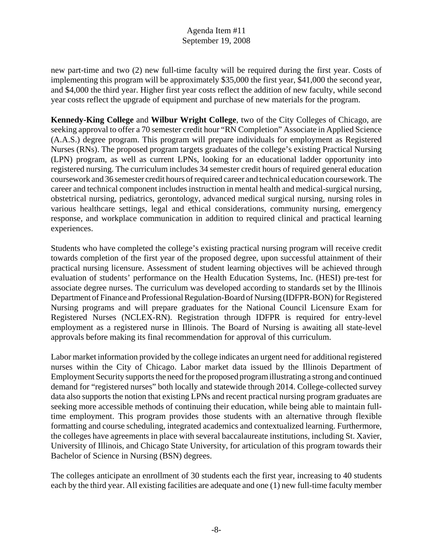new part-time and two (2) new full-time faculty will be required during the first year. Costs of implementing this program will be approximately \$35,000 the first year, \$41,000 the second year, and \$4,000 the third year. Higher first year costs reflect the addition of new faculty, while second year costs reflect the upgrade of equipment and purchase of new materials for the program.

**Kennedy-King College** and **Wilbur Wright College**, two of the City Colleges of Chicago, are seeking approval to offer a 70 semester credit hour "RN Completion" Associate in Applied Science (A.A.S.) degree program. This program will prepare individuals for employment as Registered Nurses (RNs). The proposed program targets graduates of the college's existing Practical Nursing (LPN) program, as well as current LPNs, looking for an educational ladder opportunity into registered nursing. The curriculum includes 34 semester credit hours of required general education coursework and 36 semester credit hours of required career and technical education coursework. The career and technical component includes instruction in mental health and medical-surgical nursing, obstetrical nursing, pediatrics, gerontology, advanced medical surgical nursing, nursing roles in various healthcare settings, legal and ethical considerations, community nursing, emergency response, and workplace communication in addition to required clinical and practical learning experiences.

Students who have completed the college's existing practical nursing program will receive credit towards completion of the first year of the proposed degree, upon successful attainment of their practical nursing licensure. Assessment of student learning objectives will be achieved through evaluation of students' performance on the Health Education Systems, Inc. (HESI) pre-test for associate degree nurses. The curriculum was developed according to standards set by the Illinois Department of Finance and Professional Regulation-Board of Nursing (IDFPR-BON) for Registered Nursing programs and will prepare graduates for the National Council Licensure Exam for Registered Nurses (NCLEX-RN). Registration through IDFPR is required for entry-level employment as a registered nurse in Illinois. The Board of Nursing is awaiting all state-level approvals before making its final recommendation for approval of this curriculum.

Labor market information provided by the college indicates an urgent need for additional registered nurses within the City of Chicago. Labor market data issued by the Illinois Department of Employment Security supports the need for the proposed program illustrating a strong and continued demand for "registered nurses" both locally and statewide through 2014. College-collected survey data also supports the notion that existing LPNs and recent practical nursing program graduates are seeking more accessible methods of continuing their education, while being able to maintain fulltime employment. This program provides those students with an alternative through flexible formatting and course scheduling, integrated academics and contextualized learning. Furthermore, the colleges have agreements in place with several baccalaureate institutions, including St. Xavier, University of Illinois, and Chicago State University, for articulation of this program towards their Bachelor of Science in Nursing (BSN) degrees.

The colleges anticipate an enrollment of 30 students each the first year, increasing to 40 students each by the third year. All existing facilities are adequate and one (1) new full-time faculty member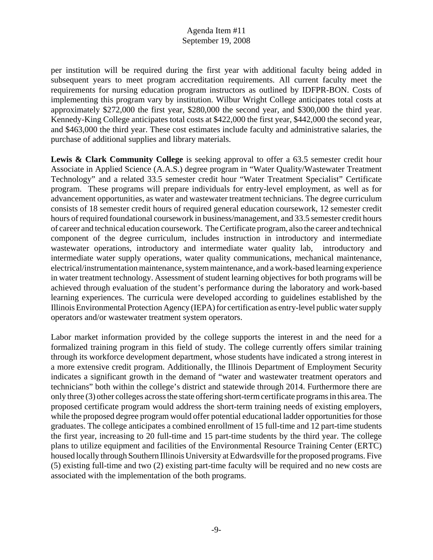per institution will be required during the first year with additional faculty being added in subsequent years to meet program accreditation requirements. All current faculty meet the requirements for nursing education program instructors as outlined by IDFPR-BON. Costs of implementing this program vary by institution. Wilbur Wright College anticipates total costs at approximately \$272,000 the first year, \$280,000 the second year, and \$300,000 the third year. Kennedy-King College anticipates total costs at \$422,000 the first year, \$442,000 the second year, and \$463,000 the third year. These cost estimates include faculty and administrative salaries, the purchase of additional supplies and library materials.

Lewis & Clark Community College is seeking approval to offer a 63.5 semester credit hour Associate in Applied Science (A.A.S.) degree program in "Water Quality/Wastewater Treatment Technology" and a related 33.5 semester credit hour "Water Treatment Specialist" Certificate program. These programs will prepare individuals for entry-level employment, as well as for advancement opportunities, as water and wastewater treatment technicians. The degree curriculum consists of 18 semester credit hours of required general education coursework, 12 semester credit hours of required foundational coursework in business/management, and 33.5 semester credit hours of career and technical education coursework. The Certificate program, also the career and technical component of the degree curriculum, includes instruction in introductory and intermediate wastewater operations, introductory and intermediate water quality lab, introductory and intermediate water supply operations, water quality communications, mechanical maintenance, electrical/instrumentation maintenance, system maintenance, and a work-based learning experience in water treatment technology. Assessment of student learning objectives for both programs will be achieved through evaluation of the student's performance during the laboratory and work-based learning experiences. The curricula were developed according to guidelines established by the Illinois Environmental Protection Agency (IEPA) for certification as entry-level public water supply operators and/or wastewater treatment system operators.

Labor market information provided by the college supports the interest in and the need for a formalized training program in this field of study. The college currently offers similar training through its workforce development department, whose students have indicated a strong interest in a more extensive credit program. Additionally, the Illinois Department of Employment Security indicates a significant growth in the demand of "water and wastewater treatment operators and technicians" both within the college's district and statewide through 2014. Furthermore there are only three (3) other colleges across the state offering short-term certificate programs in this area. The proposed certificate program would address the short-term training needs of existing employers, while the proposed degree program would offer potential educational ladder opportunities for those graduates. The college anticipates a combined enrollment of 15 full-time and 12 part-time students the first year, increasing to 20 full-time and 15 part-time students by the third year. The college plans to utilize equipment and facilities of the Environmental Resource Training Center (ERTC) housed locally through Southern Illinois University at Edwardsville for the proposed programs. Five (5) existing full-time and two (2) existing part-time faculty will be required and no new costs are associated with the implementation of the both programs.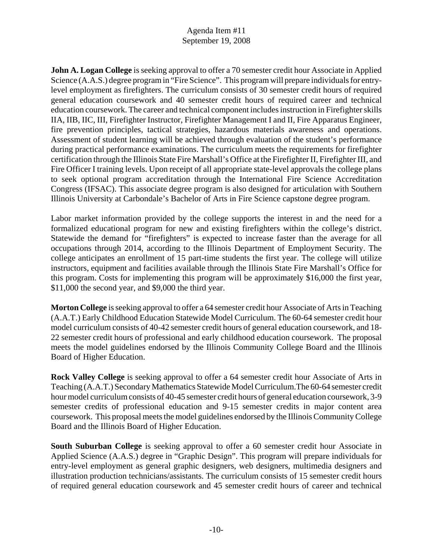**John A. Logan College** is seeking approval to offer a 70 semester credit hour Associate in Applied Science (A.A.S.) degree program in "Fire Science". This program will prepare individuals for entrylevel employment as firefighters. The curriculum consists of 30 semester credit hours of required general education coursework and 40 semester credit hours of required career and technical education coursework. The career and technical component includes instruction in Firefighter skills IIA, IIB, IIC, III, Firefighter Instructor, Firefighter Management I and II, Fire Apparatus Engineer, fire prevention principles, tactical strategies, hazardous materials awareness and operations. Assessment of student learning will be achieved through evaluation of the student's performance during practical performance examinations. The curriculum meets the requirements for firefighter certification through the Illinois State Fire Marshall's Office at the Firefighter II, Firefighter III, and Fire Officer I training levels. Upon receipt of all appropriate state-level approvals the college plans to seek optional program accreditation through the International Fire Science Accreditation Congress (IFSAC). This associate degree program is also designed for articulation with Southern Illinois University at Carbondale's Bachelor of Arts in Fire Science capstone degree program.

Labor market information provided by the college supports the interest in and the need for a formalized educational program for new and existing firefighters within the college's district. Statewide the demand for "firefighters" is expected to increase faster than the average for all occupations through 2014, according to the Illinois Department of Employment Security. The college anticipates an enrollment of 15 part-time students the first year. The college will utilize instructors, equipment and facilities available through the Illinois State Fire Marshall's Office for this program. Costs for implementing this program will be approximately \$16,000 the first year, \$11,000 the second year, and \$9,000 the third year.

**Morton College** is seeking approval to offer a 64 semester credit hour Associate of Arts in Teaching (A.A.T.) Early Childhood Education Statewide Model Curriculum. The 60-64 semester credit hour model curriculum consists of 40-42 semester credit hours of general education coursework, and 18- 22 semester credit hours of professional and early childhood education coursework. The proposal meets the model guidelines endorsed by the Illinois Community College Board and the Illinois Board of Higher Education.

**Rock Valley College** is seeking approval to offer a 64 semester credit hour Associate of Arts in Teaching (A.A.T.) Secondary Mathematics Statewide Model Curriculum.The 60-64 semester credit hour model curriculum consists of 40-45 semester credit hours of general education coursework, 3-9 semester credits of professional education and 9-15 semester credits in major content area coursework. This proposal meets the model guidelines endorsed by the Illinois Community College Board and the Illinois Board of Higher Education.

**South Suburban College** is seeking approval to offer a 60 semester credit hour Associate in Applied Science (A.A.S.) degree in "Graphic Design". This program will prepare individuals for entry-level employment as general graphic designers, web designers, multimedia designers and illustration production technicians/assistants. The curriculum consists of 15 semester credit hours of required general education coursework and 45 semester credit hours of career and technical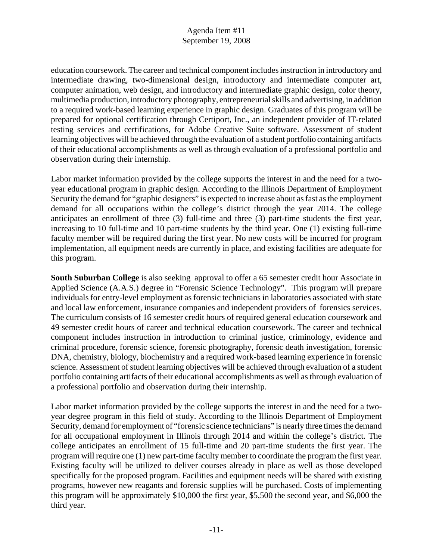education coursework. The career and technical component includes instruction in introductory and intermediate drawing, two-dimensional design, introductory and intermediate computer art, computer animation, web design, and introductory and intermediate graphic design, color theory, multimedia production, introductory photography, entrepreneurial skills and advertising, in addition to a required work-based learning experience in graphic design. Graduates of this program will be prepared for optional certification through Certiport, Inc., an independent provider of IT-related testing services and certifications, for Adobe Creative Suite software. Assessment of student learning objectives will be achieved through the evaluation of a student portfolio containing artifacts of their educational accomplishments as well as through evaluation of a professional portfolio and observation during their internship.

Labor market information provided by the college supports the interest in and the need for a twoyear educational program in graphic design. According to the Illinois Department of Employment Security the demand for "graphic designers" is expected to increase about as fast as the employment demand for all occupations within the college's district through the year 2014. The college anticipates an enrollment of three (3) full-time and three (3) part-time students the first year, increasing to 10 full-time and 10 part-time students by the third year. One (1) existing full-time faculty member will be required during the first year. No new costs will be incurred for program implementation, all equipment needs are currently in place, and existing facilities are adequate for this program.

**South Suburban College** is also seeking approval to offer a 65 semester credit hour Associate in Applied Science (A.A.S.) degree in "Forensic Science Technology". This program will prepare individuals for entry-level employment as forensic technicians in laboratories associated with state and local law enforcement, insurance companies and independent providers of forensics services. The curriculum consists of 16 semester credit hours of required general education coursework and 49 semester credit hours of career and technical education coursework. The career and technical component includes instruction in introduction to criminal justice, criminology, evidence and criminal procedure, forensic science, forensic photography, forensic death investigation, forensic DNA, chemistry, biology, biochemistry and a required work-based learning experience in forensic science. Assessment of student learning objectives will be achieved through evaluation of a student portfolio containing artifacts of their educational accomplishments as well as through evaluation of a professional portfolio and observation during their internship.

Labor market information provided by the college supports the interest in and the need for a twoyear degree program in this field of study. According to the Illinois Department of Employment Security, demand for employment of "forensic science technicians" is nearly three times the demand for all occupational employment in Illinois through 2014 and within the college's district. The college anticipates an enrollment of 15 full-time and 20 part-time students the first year. The program will require one (1) new part-time faculty member to coordinate the program the first year. Existing faculty will be utilized to deliver courses already in place as well as those developed specifically for the proposed program. Facilities and equipment needs will be shared with existing programs, however new reagants and forensic supplies will be purchased. Costs of implementing this program will be approximately \$10,000 the first year, \$5,500 the second year, and \$6,000 the third year.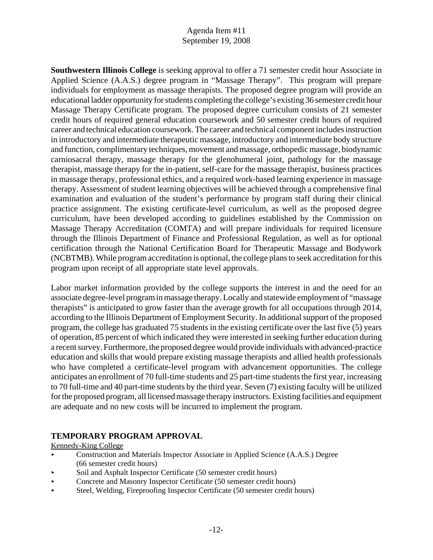**Southwestern Illinois College** is seeking approval to offer a 71 semester credit hour Associate in Applied Science (A.A.S.) degree program in "Massage Therapy". This program will prepare individuals for employment as massage therapists. The proposed degree program will provide an educational ladder opportunity for students completing the college's existing 36 semester credit hour Massage Therapy Certificate program. The proposed degree curriculum consists of 21 semester credit hours of required general education coursework and 50 semester credit hours of required career and technical education coursework. The career and technical component includes instruction in introductory and intermediate therapeutic massage, introductory and intermediate body structure and function, complimentary techniques, movement and massage, orthopedic massage, biodynamic carniosacral therapy, massage therapy for the glenohumeral joint, pathology for the massage therapist, massage therapy for the in-patient, self-care for the massage therapist, business practices in massage therapy, professional ethics, and a required work-based learning experience in massage therapy. Assessment of student learning objectives will be achieved through a comprehensive final examination and evaluation of the student's performance by program staff during their clinical practice assignment. The existing certificate-level curriculum, as well as the proposed degree curriculum, have been developed according to guidelines established by the Commission on Massage Therapy Accreditation (COMTA) and will prepare individuals for required licensure through the Illinois Department of Finance and Professional Regulation, as well as for optional certification through the National Certification Board for Therapeutic Massage and Bodywork (NCBTMB). While program accreditation is optional, the college plans to seek accreditation for this program upon receipt of all appropriate state level approvals.

Labor market information provided by the college supports the interest in and the need for an associate degree-level program in massage therapy. Locally and statewide employment of "massage therapists" is anticipated to grow faster than the average growth for all occupations through 2014, according to the Illinois Department of Employment Security. In additional support of the proposed program, the college has graduated 75 students in the existing certificate over the last five (5) years of operation, 85 percent of which indicated they were interested in seeking further education during a recent survey. Furthermore, the proposed degree would provide individuals with advanced-practice education and skills that would prepare existing massage therapists and allied health professionals who have completed a certificate-level program with advancement opportunities. The college anticipates an enrollment of 70 full-time students and 25 part-time students the first year, increasing to 70 full-time and 40 part-time students by the third year. Seven (7) existing faculty will be utilized for the proposed program, all licensed massage therapy instructors. Existing facilities and equipment are adequate and no new costs will be incurred to implement the program.

#### **TEMPORARY PROGRAM APPROVAL**

Kennedy-King College

- Construction and Materials Inspector Associate in Applied Science (A.A.S.) Degree (66 semester credit hours)
- Soil and Asphalt Inspector Certificate (50 semester credit hours)
- < Concrete and Masonry Inspector Certificate (50 semester credit hours)
- < Steel, Welding, Fireproofing Inspector Certificate (50 semester credit hours)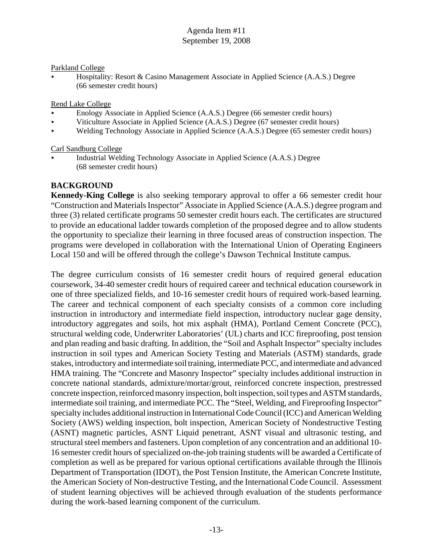#### Parkland College

Hospitality: Resort & Casino Management Associate in Applied Science (A.A.S.) Degree (66 semester credit hours)

#### Rend Lake College

- < Enology Associate in Applied Science (A.A.S.) Degree (66 semester credit hours)
- < Viticulture Associate in Applied Science (A.A.S.) Degree (67 semester credit hours)
- < Welding Technology Associate in Applied Science (A.A.S.) Degree (65 semester credit hours)

#### Carl Sandburg College

< Industrial Welding Technology Associate in Applied Science (A.A.S.) Degree (68 semester credit hours)

#### **BACKGROUND**

**Kennedy-King College** is also seeking temporary approval to offer a 66 semester credit hour "Construction and Materials Inspector" Associate in Applied Science (A.A.S.) degree program and three (3) related certificate programs 50 semester credit hours each. The certificates are structured to provide an educational ladder towards completion of the proposed degree and to allow students the opportunity to specialize their learning in three focused areas of construction inspection. The programs were developed in collaboration with the International Union of Operating Engineers Local 150 and will be offered through the college's Dawson Technical Institute campus.

The degree curriculum consists of 16 semester credit hours of required general education coursework, 34-40 semester credit hours of required career and technical education coursework in one of three specialized fields, and 10-16 semester credit hours of required work-based learning. The career and technical component of each specialty consists of a common core including instruction in introductory and intermediate field inspection, introductory nuclear gage density, introductory aggregates and soils, hot mix asphalt (HMA), Portland Cement Concrete (PCC), structural welding code, Underwriter Laboratories' (UL) charts and ICC fireproofing, post tension and plan reading and basic drafting. In addition, the "Soil and Asphalt Inspector" specialty includes instruction in soil types and American Society Testing and Materials (ASTM) standards, grade stakes, introductory and intermediate soil training, intermediate PCC, and intermediate and advanced HMA training. The "Concrete and Masonry Inspector" specialty includes additional instruction in concrete national standards, admixture/mortar/grout, reinforced concrete inspection, prestressed concrete inspection, reinforced masonry inspection, bolt inspection, soil types and ASTM standards, intermediate soil training, and intermediate PCC. The "Steel, Welding, and Fireproofing Inspector" specialty includes additional instruction in International Code Council (ICC) and American Welding Society (AWS) welding inspection, bolt inspection, American Society of Nondestructive Testing (ASNT) magnetic particles, ASNT Liquid penetrant, ASNT visual and ultrasonic testing, and structural steel members and fasteners. Upon completion of any concentration and an additional 10- 16 semester credit hours of specialized on-the-job training students will be awarded a Certificate of completion as well as be prepared for various optional certifications available through the Illinois Department of Transportation (IDOT), the Post Tension Institute, the American Concrete Institute, the American Society of Non-destructive Testing, and the International Code Council. Assessment of student learning objectives will be achieved through evaluation of the students performance during the work-based learning component of the curriculum.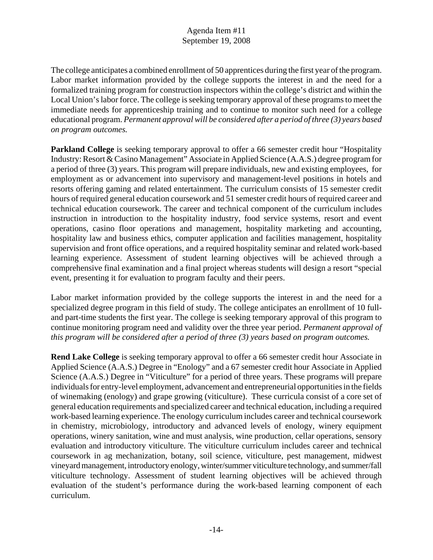The college anticipates a combined enrollment of 50 apprentices during the first year of the program. Labor market information provided by the college supports the interest in and the need for a formalized training program for construction inspectors within the college's district and within the Local Union's labor force. The college is seeking temporary approval of these programs to meet the immediate needs for apprenticeship training and to continue to monitor such need for a college educational program. *Permanent approval will be considered after a period of three (3) years based on program outcomes.* 

**Parkland College** is seeking temporary approval to offer a 66 semester credit hour "Hospitality" Industry: Resort & Casino Management" Associate in Applied Science (A.A.S.) degree program for a period of three (3) years. This program will prepare individuals, new and existing employees, for employment as or advancement into supervisory and management-level positions in hotels and resorts offering gaming and related entertainment. The curriculum consists of 15 semester credit hours of required general education coursework and 51 semester credit hours of required career and technical education coursework. The career and technical component of the curriculum includes instruction in introduction to the hospitality industry, food service systems, resort and event operations, casino floor operations and management, hospitality marketing and accounting, hospitality law and business ethics, computer application and facilities management, hospitality supervision and front office operations, and a required hospitality seminar and related work-based learning experience. Assessment of student learning objectives will be achieved through a comprehensive final examination and a final project whereas students will design a resort "special event, presenting it for evaluation to program faculty and their peers.

Labor market information provided by the college supports the interest in and the need for a specialized degree program in this field of study. The college anticipates an enrollment of 10 fulland part-time students the first year. The college is seeking temporary approval of this program to continue monitoring program need and validity over the three year period. *Permanent approval of this program will be considered after a period of three (3) years based on program outcomes.* 

**Rend Lake College** is seeking temporary approval to offer a 66 semester credit hour Associate in Applied Science (A.A.S.) Degree in "Enology" and a 67 semester credit hour Associate in Applied Science (A.A.S.) Degree in "Viticulture" for a period of three years. These programs will prepare individuals for entry-level employment, advancement and entrepreneurial opportunities in the fields of winemaking (enology) and grape growing (viticulture). These curricula consist of a core set of general education requirements and specialized career and technical education, including a required work-based learning experience. The enology curriculum includes career and technical coursework in chemistry, microbiology, introductory and advanced levels of enology, winery equipment operations, winery sanitation, wine and must analysis, wine production, cellar operations, sensory evaluation and introductory viticulture. The viticulture curriculum includes career and technical coursework in ag mechanization, botany, soil science, viticulture, pest management, midwest vineyard management, introductory enology, winter/summer viticulture technology, and summer/fall viticulture technology. Assessment of student learning objectives will be achieved through evaluation of the student's performance during the work-based learning component of each curriculum.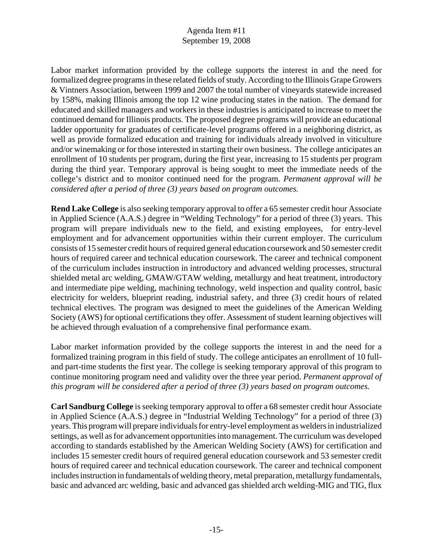Labor market information provided by the college supports the interest in and the need for formalized degree programs in these related fields of study. According to the Illinois Grape Growers & Vintners Association, between 1999 and 2007 the total number of vineyards statewide increased by 158%, making Illinois among the top 12 wine producing states in the nation. The demand for educated and skilled managers and workers in these industries is anticipated to increase to meet the continued demand for Illinois products. The proposed degree programs will provide an educational ladder opportunity for graduates of certificate-level programs offered in a neighboring district, as well as provide formalized education and training for individuals already involved in viticulture and/or winemaking or for those interested in starting their own business. The college anticipates an enrollment of 10 students per program, during the first year, increasing to 15 students per program during the third year. Temporary approval is being sought to meet the immediate needs of the college's district and to monitor continued need for the program. *Permanent approval will be considered after a period of three (3) years based on program outcomes.* 

**Rend Lake College** is also seeking temporary approval to offer a 65 semester credit hour Associate in Applied Science (A.A.S.) degree in "Welding Technology" for a period of three (3) years. This program will prepare individuals new to the field, and existing employees, for entry-level employment and for advancement opportunities within their current employer. The curriculum consists of 15 semester credit hours of required general education coursework and 50 semester credit hours of required career and technical education coursework. The career and technical component of the curriculum includes instruction in introductory and advanced welding processes, structural shielded metal arc welding, GMAW/GTAW welding, metallurgy and heat treatment, introductory and intermediate pipe welding, machining technology, weld inspection and quality control, basic electricity for welders, blueprint reading, industrial safety, and three (3) credit hours of related technical electives. The program was designed to meet the guidelines of the American Welding Society (AWS) for optional certifications they offer. Assessment of student learning objectives will be achieved through evaluation of a comprehensive final performance exam.

Labor market information provided by the college supports the interest in and the need for a formalized training program in this field of study. The college anticipates an enrollment of 10 fulland part-time students the first year. The college is seeking temporary approval of this program to continue monitoring program need and validity over the three year period. *Permanent approval of this program will be considered after a period of three (3) years based on program outcomes.* 

**Carl Sandburg College** is seeking temporary approval to offer a 68 semester credit hour Associate in Applied Science (A.A.S.) degree in "Industrial Welding Technology" for a period of three (3) years. This program will prepare individuals for entry-level employment as welders in industrialized settings, as well as for advancement opportunities into management. The curriculum was developed according to standards established by the American Welding Society (AWS) for certification and includes 15 semester credit hours of required general education coursework and 53 semester credit hours of required career and technical education coursework. The career and technical component includes instruction in fundamentals of welding theory, metal preparation, metallurgy fundamentals, basic and advanced arc welding, basic and advanced gas shielded arch welding-MIG and TIG, flux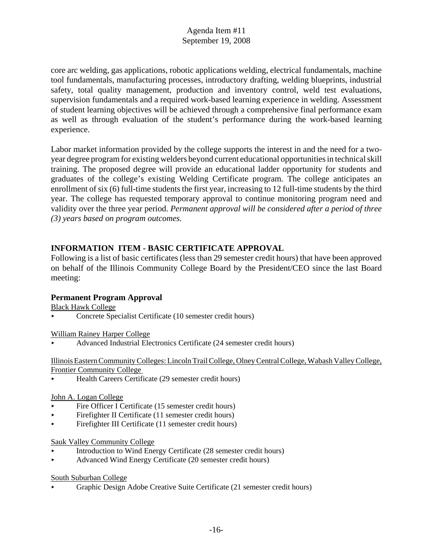core arc welding, gas applications, robotic applications welding, electrical fundamentals, machine tool fundamentals, manufacturing processes, introductory drafting, welding blueprints, industrial safety, total quality management, production and inventory control, weld test evaluations, supervision fundamentals and a required work-based learning experience in welding. Assessment of student learning objectives will be achieved through a comprehensive final performance exam as well as through evaluation of the student's performance during the work-based learning experience.

Labor market information provided by the college supports the interest in and the need for a twoyear degree program for existing welders beyond current educational opportunities in technical skill training. The proposed degree will provide an educational ladder opportunity for students and graduates of the college's existing Welding Certificate program. The college anticipates an enrollment of six (6) full-time students the first year, increasing to 12 full-time students by the third year. The college has requested temporary approval to continue monitoring program need and validity over the three year period. *Permanent approval will be considered after a period of three (3) years based on program outcomes.* 

# **INFORMATION ITEM - BASIC CERTIFICATE APPROVAL**

Following is a list of basic certificates (less than 29 semester credit hours) that have been approved on behalf of the Illinois Community College Board by the President/CEO since the last Board meeting:

#### **Permanent Program Approval**

Black Hawk College

< Concrete Specialist Certificate (10 semester credit hours)

William Rainey Harper College

< Advanced Industrial Electronics Certificate (24 semester credit hours)

Illinois Eastern Community Colleges: Lincoln Trail College, Olney Central College, Wabash Valley College, Frontier Community College

Health Careers Certificate (29 semester credit hours)

#### John A. Logan College

- Fire Officer I Certificate (15 semester credit hours)
- $\blacktriangleright$  Firefighter II Certificate (11 semester credit hours)
- < Firefighter III Certificate (11 semester credit hours)

#### Sauk Valley Community College

- < Introduction to Wind Energy Certificate (28 semester credit hours)
- < Advanced Wind Energy Certificate (20 semester credit hours)

#### South Suburban College

< Graphic Design Adobe Creative Suite Certificate (21 semester credit hours)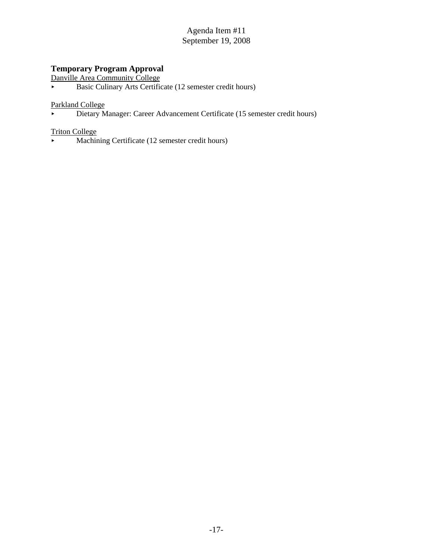# **Temporary Program Approval**

Danville Area Community College

Basic Culinary Arts Certificate (12 semester credit hours)

#### Parkland College

Dietary Manager: Career Advancement Certificate (15 semester credit hours)

# Triton College

 $\blacktriangleright$  Machining Certificate (12 semester credit hours)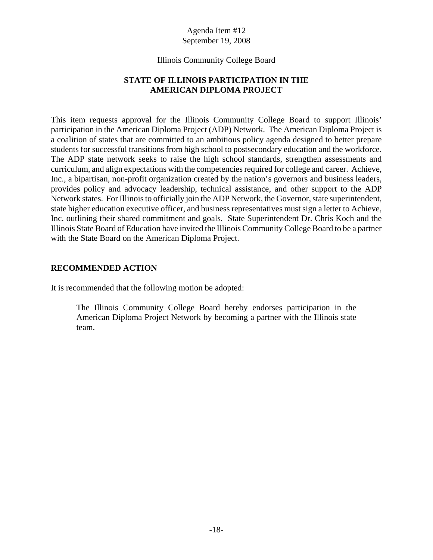#### Illinois Community College Board

#### **STATE OF ILLINOIS PARTICIPATION IN THE AMERICAN DIPLOMA PROJECT**

This item requests approval for the Illinois Community College Board to support Illinois' participation in the American Diploma Project (ADP) Network. The American Diploma Project is a coalition of states that are committed to an ambitious policy agenda designed to better prepare students for successful transitions from high school to postsecondary education and the workforce. The ADP state network seeks to raise the high school standards, strengthen assessments and curriculum, and align expectations with the competencies required for college and career. Achieve, Inc., a bipartisan, non-profit organization created by the nation's governors and business leaders, provides policy and advocacy leadership, technical assistance, and other support to the ADP Network states. For Illinois to officially join the ADP Network, the Governor, state superintendent, state higher education executive officer, and business representatives must sign a letter to Achieve, Inc. outlining their shared commitment and goals. State Superintendent Dr. Chris Koch and the Illinois State Board of Education have invited the Illinois Community College Board to be a partner with the State Board on the American Diploma Project.

#### **RECOMMENDED ACTION**

It is recommended that the following motion be adopted:

The Illinois Community College Board hereby endorses participation in the American Diploma Project Network by becoming a partner with the Illinois state team.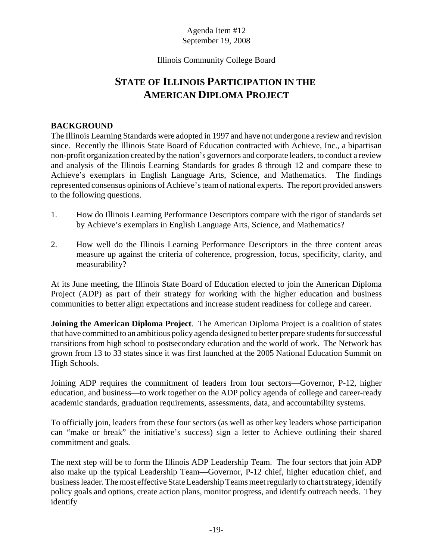#### Illinois Community College Board

# **STATE OF ILLINOIS PARTICIPATION IN THE AMERICAN DIPLOMA PROJECT**

#### **BACKGROUND**

The Illinois Learning Standards were adopted in 1997 and have not undergone a review and revision since. Recently the Illinois State Board of Education contracted with Achieve, Inc., a bipartisan non-profit organization created by the nation's governors and corporate leaders, to conduct a review and analysis of the Illinois Learning Standards for grades 8 through 12 and compare these to Achieve's exemplars in English Language Arts, Science, and Mathematics. The findings represented consensus opinions of Achieve's team of national experts. The report provided answers to the following questions.

- 1. How do Illinois Learning Performance Descriptors compare with the rigor of standards set by Achieve's exemplars in English Language Arts, Science, and Mathematics?
- 2. How well do the Illinois Learning Performance Descriptors in the three content areas measure up against the criteria of coherence, progression, focus, specificity, clarity, and measurability?

At its June meeting, the Illinois State Board of Education elected to join the American Diploma Project (ADP) as part of their strategy for working with the higher education and business communities to better align expectations and increase student readiness for college and career.

**Joining the American Diploma Project**. The American Diploma Project is a coalition of states that have committed to an ambitious policy agenda designed to better prepare students for successful transitions from high school to postsecondary education and the world of work. The Network has grown from 13 to 33 states since it was first launched at the 2005 National Education Summit on High Schools.

Joining ADP requires the commitment of leaders from four sectors—Governor, P-12, higher education, and business—to work together on the ADP policy agenda of college and career-ready academic standards, graduation requirements, assessments, data, and accountability systems.

To officially join, leaders from these four sectors (as well as other key leaders whose participation can "make or break" the initiative's success) sign a letter to Achieve outlining their shared commitment and goals.

The next step will be to form the Illinois ADP Leadership Team. The four sectors that join ADP also make up the typical Leadership Team—Governor, P-12 chief, higher education chief, and business leader. The most effective State Leadership Teams meet regularly to chart strategy, identify policy goals and options, create action plans, monitor progress, and identify outreach needs. They identify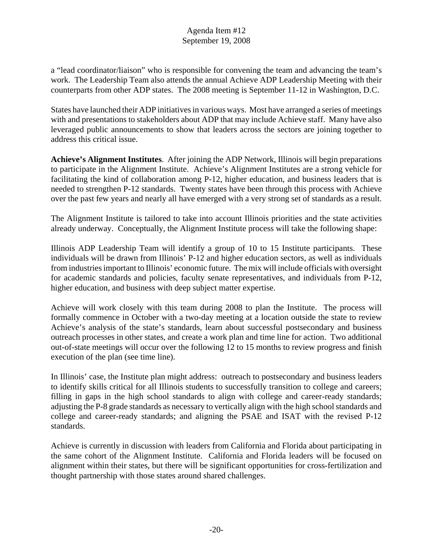a "lead coordinator/liaison" who is responsible for convening the team and advancing the team's work. The Leadership Team also attends the annual Achieve ADP Leadership Meeting with their counterparts from other ADP states. The 2008 meeting is September 11-12 in Washington, D.C.

States have launched their ADP initiatives in various ways. Most have arranged a series of meetings with and presentations to stakeholders about ADP that may include Achieve staff. Many have also leveraged public announcements to show that leaders across the sectors are joining together to address this critical issue.

**Achieve's Alignment Institutes**. After joining the ADP Network, Illinois will begin preparations to participate in the Alignment Institute. Achieve's Alignment Institutes are a strong vehicle for facilitating the kind of collaboration among P-12, higher education, and business leaders that is needed to strengthen P-12 standards. Twenty states have been through this process with Achieve over the past few years and nearly all have emerged with a very strong set of standards as a result.

The Alignment Institute is tailored to take into account Illinois priorities and the state activities already underway. Conceptually, the Alignment Institute process will take the following shape:

Illinois ADP Leadership Team will identify a group of 10 to 15 Institute participants. These individuals will be drawn from Illinois' P-12 and higher education sectors, as well as individuals from industries important to Illinois' economic future. The mix will include officials with oversight for academic standards and policies, faculty senate representatives, and individuals from P-12, higher education, and business with deep subject matter expertise.

Achieve will work closely with this team during 2008 to plan the Institute. The process will formally commence in October with a two-day meeting at a location outside the state to review Achieve's analysis of the state's standards, learn about successful postsecondary and business outreach processes in other states, and create a work plan and time line for action. Two additional out-of-state meetings will occur over the following 12 to 15 months to review progress and finish execution of the plan (see time line).

In Illinois' case, the Institute plan might address: outreach to postsecondary and business leaders to identify skills critical for all Illinois students to successfully transition to college and careers; filling in gaps in the high school standards to align with college and career-ready standards; adjusting the P-8 grade standards as necessary to vertically align with the high school standards and college and career-ready standards; and aligning the PSAE and ISAT with the revised P-12 standards.

Achieve is currently in discussion with leaders from California and Florida about participating in the same cohort of the Alignment Institute. California and Florida leaders will be focused on alignment within their states, but there will be significant opportunities for cross-fertilization and thought partnership with those states around shared challenges.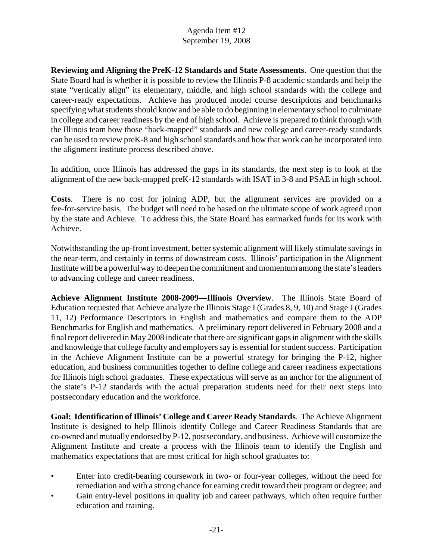**Reviewing and Aligning the PreK-12 Standards and State Assessments**. One question that the State Board had is whether it is possible to review the Illinois P-8 academic standards and help the state "vertically align" its elementary, middle, and high school standards with the college and career-ready expectations. Achieve has produced model course descriptions and benchmarks specifying what students should know and be able to do beginning in elementary school to culminate in college and career readiness by the end of high school. Achieve is prepared to think through with the Illinois team how those "back-mapped" standards and new college and career-ready standards can be used to review preK-8 and high school standards and how that work can be incorporated into the alignment institute process described above.

In addition, once Illinois has addressed the gaps in its standards, the next step is to look at the alignment of the new back-mapped preK-12 standards with ISAT in 3-8 and PSAE in high school.

**Costs**. There is no cost for joining ADP, but the alignment services are provided on a fee-for-service basis. The budget will need to be based on the ultimate scope of work agreed upon by the state and Achieve. To address this, the State Board has earmarked funds for its work with Achieve.

Notwithstanding the up-front investment, better systemic alignment will likely stimulate savings in the near-term, and certainly in terms of downstream costs. Illinois' participation in the Alignment Institute will be a powerful way to deepen the commitment and momentum among the state's leaders to advancing college and career readiness.

**Achieve Alignment Institute 2008-2009—Illinois Overview**. The Illinois State Board of Education requested that Achieve analyze the Illinois Stage I (Grades 8, 9, 10) and Stage J (Grades 11, 12) Performance Descriptors in English and mathematics and compare them to the ADP Benchmarks for English and mathematics. A preliminary report delivered in February 2008 and a final report delivered in May 2008 indicate that there are significant gaps in alignment with the skills and knowledge that college faculty and employers say is essential for student success. Participation in the Achieve Alignment Institute can be a powerful strategy for bringing the P-12, higher education, and business communities together to define college and career readiness expectations for Illinois high school graduates. These expectations will serve as an anchor for the alignment of the state's P-12 standards with the actual preparation students need for their next steps into postsecondary education and the workforce.

**Goal: Identification of Illinois' College and Career Ready Standards**. The Achieve Alignment Institute is designed to help Illinois identify College and Career Readiness Standards that are co-owned and mutually endorsed by P-12, postsecondary, and business. Achieve will customize the Alignment Institute and create a process with the Illinois team to identify the English and mathematics expectations that are most critical for high school graduates to:

- Enter into credit-bearing coursework in two- or four-year colleges, without the need for remediation and with a strong chance for earning credit toward their program or degree; and
- Gain entry-level positions in quality job and career pathways, which often require further education and training.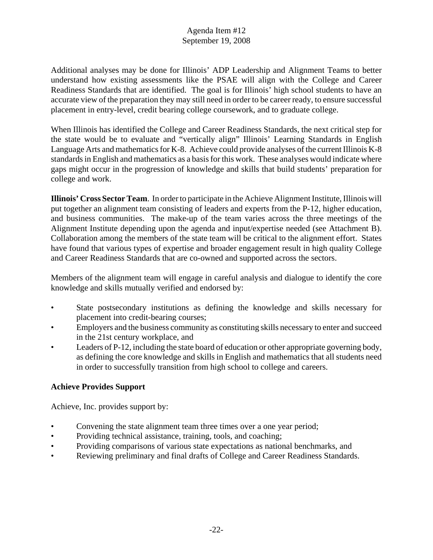Additional analyses may be done for Illinois' ADP Leadership and Alignment Teams to better understand how existing assessments like the PSAE will align with the College and Career Readiness Standards that are identified. The goal is for Illinois' high school students to have an accurate view of the preparation they may still need in order to be career ready, to ensure successful placement in entry-level, credit bearing college coursework, and to graduate college.

When Illinois has identified the College and Career Readiness Standards, the next critical step for the state would be to evaluate and "vertically align" Illinois' Learning Standards in English Language Arts and mathematics for K-8. Achieve could provide analyses of the current Illinois K-8 standards in English and mathematics as a basis for this work. These analyses would indicate where gaps might occur in the progression of knowledge and skills that build students' preparation for college and work.

**Illinois' Cross Sector Team**. In order to participate in the Achieve Alignment Institute, Illinois will put together an alignment team consisting of leaders and experts from the P-12, higher education, and business communities. The make-up of the team varies across the three meetings of the Alignment Institute depending upon the agenda and input/expertise needed (see Attachment B). Collaboration among the members of the state team will be critical to the alignment effort. States have found that various types of expertise and broader engagement result in high quality College and Career Readiness Standards that are co-owned and supported across the sectors.

Members of the alignment team will engage in careful analysis and dialogue to identify the core knowledge and skills mutually verified and endorsed by:

- State postsecondary institutions as defining the knowledge and skills necessary for placement into credit-bearing courses;
- Employers and the business community as constituting skills necessary to enter and succeed in the 21st century workplace, and
- Leaders of P-12, including the state board of education or other appropriate governing body, as defining the core knowledge and skills in English and mathematics that all students need in order to successfully transition from high school to college and careers.

# **Achieve Provides Support**

Achieve, Inc. provides support by:

- Convening the state alignment team three times over a one year period;
- Providing technical assistance, training, tools, and coaching;
- Providing comparisons of various state expectations as national benchmarks, and
- Reviewing preliminary and final drafts of College and Career Readiness Standards.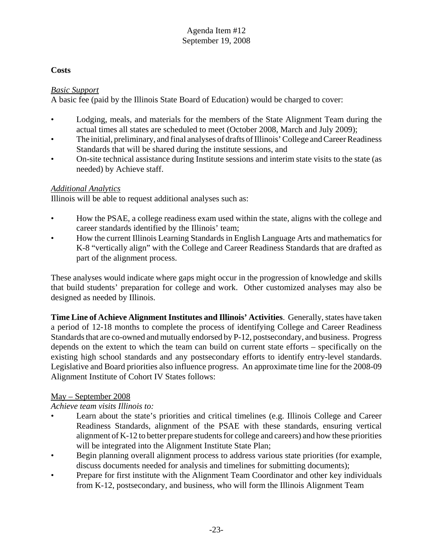# **Costs**

#### *Basic Support*

A basic fee (paid by the Illinois State Board of Education) would be charged to cover:

- Lodging, meals, and materials for the members of the State Alignment Team during the actual times all states are scheduled to meet (October 2008, March and July 2009);
- The initial, preliminary, and final analyses of drafts of Illinois' College and Career Readiness Standards that will be shared during the institute sessions, and
- On-site technical assistance during Institute sessions and interim state visits to the state (as needed) by Achieve staff.

# *Additional Analytics*

Illinois will be able to request additional analyses such as:

- How the PSAE, a college readiness exam used within the state, aligns with the college and career standards identified by the Illinois' team;
- How the current Illinois Learning Standards in English Language Arts and mathematics for K-8 "vertically align" with the College and Career Readiness Standards that are drafted as part of the alignment process.

These analyses would indicate where gaps might occur in the progression of knowledge and skills that build students' preparation for college and work. Other customized analyses may also be designed as needed by Illinois.

**Time Line of Achieve Alignment Institutes and Illinois' Activities**. Generally, states have taken a period of 12-18 months to complete the process of identifying College and Career Readiness Standards that are co-owned and mutually endorsed by P-12, postsecondary, and business. Progress depends on the extent to which the team can build on current state efforts – specifically on the existing high school standards and any postsecondary efforts to identify entry-level standards. Legislative and Board priorities also influence progress. An approximate time line for the 2008-09 Alignment Institute of Cohort IV States follows:

# May – September 2008

# *Achieve team visits Illinois to:*

- Learn about the state's priorities and critical timelines (e.g. Illinois College and Career Readiness Standards, alignment of the PSAE with these standards, ensuring vertical alignment of K-12 to better prepare students for college and careers) and how these priorities will be integrated into the Alignment Institute State Plan;
- Begin planning overall alignment process to address various state priorities (for example, discuss documents needed for analysis and timelines for submitting documents);
- Prepare for first institute with the Alignment Team Coordinator and other key individuals from K-12, postsecondary, and business, who will form the Illinois Alignment Team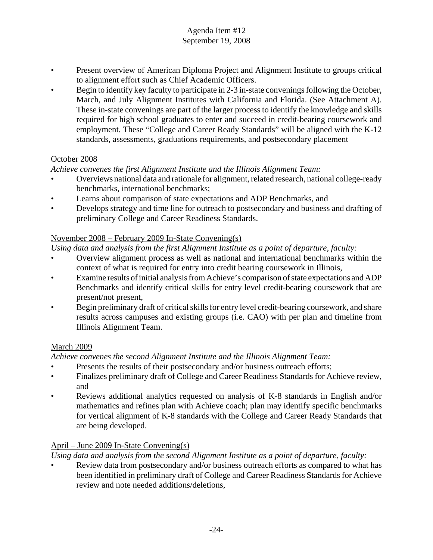- Present overview of American Diploma Project and Alignment Institute to groups critical to alignment effort such as Chief Academic Officers.
- Begin to identify key faculty to participate in 2-3 in-state convenings following the October, March, and July Alignment Institutes with California and Florida. (See Attachment A). These in-state convenings are part of the larger process to identify the knowledge and skills required for high school graduates to enter and succeed in credit-bearing coursework and employment. These "College and Career Ready Standards" will be aligned with the K-12 standards, assessments, graduations requirements, and postsecondary placement

#### October 2008

# *Achieve convenes the first Alignment Institute and the Illinois Alignment Team:*

- Overviews national data and rationale for alignment, related research, national college-ready benchmarks, international benchmarks;
- Learns about comparison of state expectations and ADP Benchmarks, and
- Develops strategy and time line for outreach to postsecondary and business and drafting of preliminary College and Career Readiness Standards.

# November 2008 – February 2009 In-State Convening(s)

*Using data and analysis from the first Alignment Institute as a point of departure, faculty:*

- Overview alignment process as well as national and international benchmarks within the context of what is required for entry into credit bearing coursework in Illinois,
- Examine results of initial analysis from Achieve's comparison of state expectations and ADP Benchmarks and identify critical skills for entry level credit-bearing coursework that are present/not present,
- Begin preliminary draft of critical skills for entry level credit-bearing coursework, and share results across campuses and existing groups (i.e. CAO) with per plan and timeline from Illinois Alignment Team.

# March 2009

# *Achieve convenes the second Alignment Institute and the Illinois Alignment Team:*

- Presents the results of their postsecondary and/or business outreach efforts;
- Finalizes preliminary draft of College and Career Readiness Standards for Achieve review, and
- Reviews additional analytics requested on analysis of K-8 standards in English and/or mathematics and refines plan with Achieve coach; plan may identify specific benchmarks for vertical alignment of K-8 standards with the College and Career Ready Standards that are being developed.

# April – June 2009 In-State Convening(s)

*Using data and analysis from the second Alignment Institute as a point of departure, faculty:*

• Review data from postsecondary and/or business outreach efforts as compared to what has been identified in preliminary draft of College and Career Readiness Standards for Achieve review and note needed additions/deletions,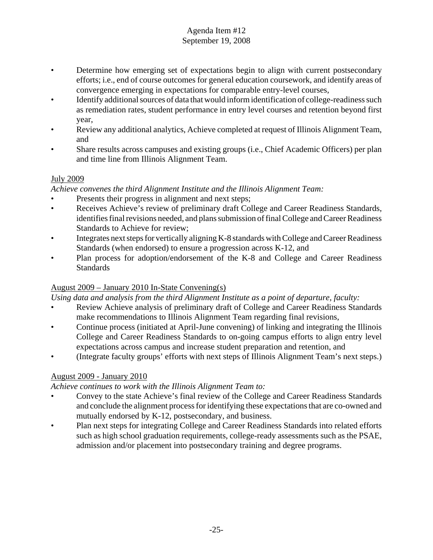- Determine how emerging set of expectations begin to align with current postsecondary efforts; i.e., end of course outcomes for general education coursework, and identify areas of convergence emerging in expectations for comparable entry-level courses,
- Identify additional sources of data that would inform identification of college-readiness such as remediation rates, student performance in entry level courses and retention beyond first year,
- Review any additional analytics, Achieve completed at request of Illinois Alignment Team, and
- Share results across campuses and existing groups (i.e., Chief Academic Officers) per plan and time line from Illinois Alignment Team.

# July 2009

*Achieve convenes the third Alignment Institute and the Illinois Alignment Team:*

- Presents their progress in alignment and next steps;
- Receives Achieve's review of preliminary draft College and Career Readiness Standards, identifies final revisions needed, and plans submission of final College and Career Readiness Standards to Achieve for review;
- Integrates next steps for vertically aligning K-8 standards with College and Career Readiness Standards (when endorsed) to ensure a progression across K-12, and
- Plan process for adoption/endorsement of the K-8 and College and Career Readiness **Standards**

# August 2009 – January 2010 In-State Convening(s)

*Using data and analysis from the third Alignment Institute as a point of departure, faculty:*

- Review Achieve analysis of preliminary draft of College and Career Readiness Standards make recommendations to Illinois Alignment Team regarding final revisions,
- Continue process (initiated at April-June convening) of linking and integrating the Illinois College and Career Readiness Standards to on-going campus efforts to align entry level expectations across campus and increase student preparation and retention, and
- (Integrate faculty groups' efforts with next steps of Illinois Alignment Team's next steps.)

# August 2009 - January 2010

#### *Achieve continues to work with the Illinois Alignment Team to:*

- Convey to the state Achieve's final review of the College and Career Readiness Standards and conclude the alignment process for identifying these expectations that are co-owned and mutually endorsed by K-12, postsecondary, and business.
- Plan next steps for integrating College and Career Readiness Standards into related efforts such as high school graduation requirements, college-ready assessments such as the PSAE, admission and/or placement into postsecondary training and degree programs.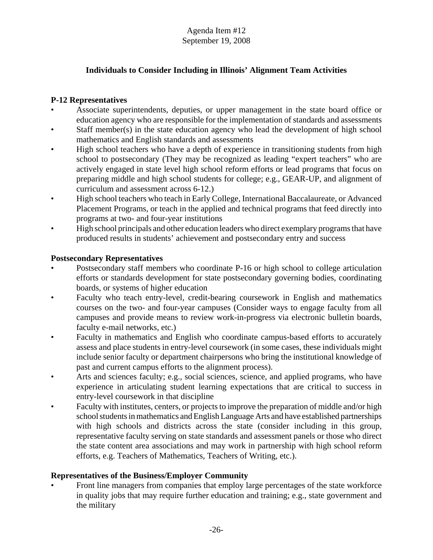# **Individuals to Consider Including in Illinois' Alignment Team Activities**

#### **P-12 Representatives**

- Associate superintendents, deputies, or upper management in the state board office or education agency who are responsible for the implementation of standards and assessments
- Staff member(s) in the state education agency who lead the development of high school mathematics and English standards and assessments
- High school teachers who have a depth of experience in transitioning students from high school to postsecondary (They may be recognized as leading "expert teachers" who are actively engaged in state level high school reform efforts or lead programs that focus on preparing middle and high school students for college; e.g., GEAR-UP, and alignment of curriculum and assessment across 6-12.)
- High school teachers who teach in Early College, International Baccalaureate, or Advanced Placement Programs, or teach in the applied and technical programs that feed directly into programs at two- and four-year institutions
- High school principals and other education leaders who direct exemplary programs that have produced results in students' achievement and postsecondary entry and success

#### **Postsecondary Representatives**

- Postsecondary staff members who coordinate P-16 or high school to college articulation efforts or standards development for state postsecondary governing bodies, coordinating boards, or systems of higher education
- Faculty who teach entry-level, credit-bearing coursework in English and mathematics courses on the two- and four-year campuses (Consider ways to engage faculty from all campuses and provide means to review work-in-progress via electronic bulletin boards, faculty e-mail networks, etc.)
- Faculty in mathematics and English who coordinate campus-based efforts to accurately assess and place students in entry-level coursework (in some cases, these individuals might include senior faculty or department chairpersons who bring the institutional knowledge of past and current campus efforts to the alignment process).
- Arts and sciences faculty; e.g., social sciences, science, and applied programs, who have experience in articulating student learning expectations that are critical to success in entry-level coursework in that discipline
- Faculty with institutes, centers, or projects to improve the preparation of middle and/or high school students in mathematics and English Language Arts and have established partnerships with high schools and districts across the state (consider including in this group, representative faculty serving on state standards and assessment panels or those who direct the state content area associations and may work in partnership with high school reform efforts, e.g. Teachers of Mathematics, Teachers of Writing, etc.).

#### **Representatives of the Business/Employer Community**

• Front line managers from companies that employ large percentages of the state workforce in quality jobs that may require further education and training; e.g., state government and the military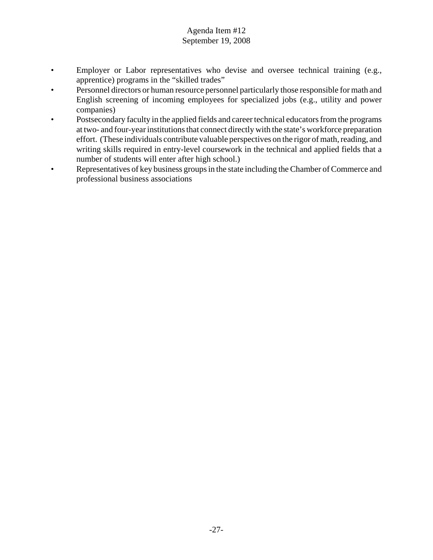- Employer or Labor representatives who devise and oversee technical training (e.g., apprentice) programs in the "skilled trades"
- Personnel directors or human resource personnel particularly those responsible for math and English screening of incoming employees for specialized jobs (e.g., utility and power companies)
- Postsecondary faculty in the applied fields and career technical educators from the programs at two- and four-year institutions that connect directly with the state's workforce preparation effort. (These individuals contribute valuable perspectives on the rigor of math, reading, and writing skills required in entry-level coursework in the technical and applied fields that a number of students will enter after high school.)
- Representatives of key business groups in the state including the Chamber of Commerce and professional business associations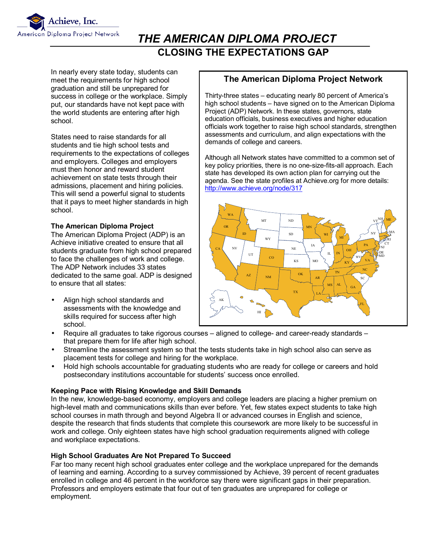

# *THE AMERICAN DIPLOMA PROJECT*   **CLOSING THE EXPECTATIONS GAP**

In nearly every state today, students can meet the requirements for high school graduation and still be unprepared for success in college or the workplace. Simply put, our standards have not kept pace with the world students are entering after high school.

States need to raise standards for all students and tie high school tests and requirements to the expectations of colleges and employers. Colleges and employers must then honor and reward student achievement on state tests through their admissions, placement and hiring policies. This will send a powerful signal to students that it pays to meet higher standards in high school.

#### **The American Diploma Project**

The American Diploma Project (ADP) is an Achieve initiative created to ensure that all students graduate from high school prepared to face the challenges of work and college. The ADP Network includes 33 states dedicated to the same goal. ADP is designed to ensure that all states:

• Align high school standards and assessments with the knowledge and skills required for success after high school.

#### **The American Diploma Project Network**

Thirty-three states – educating nearly 80 percent of America's high school students – have signed on to the American Diploma Project (ADP) Network. In these states, governors, state education officials, business executives and higher education officials work together to raise high school standards, strengthen assessments and curriculum, and align expectations with the demands of college and careers.

Although all Network states have committed to a common set of key policy priorities, there is no one-size-fits-all approach. Each state has developed its own action plan for carrying out the agenda. See the state profiles at Achieve.org for more details: http://www.achieve.org/node/317



- Require all graduates to take rigorous courses aligned to college- and career-ready standards that prepare them for life after high school.
- Streamline the assessment system so that the tests students take in high school also can serve as placement tests for college and hiring for the workplace.
- Hold high schools accountable for graduating students who are ready for college or careers and hold postsecondary institutions accountable for students' success once enrolled.

#### **Keeping Pace with Rising Knowledge and Skill Demands**

In the new, knowledge-based economy, employers and college leaders are placing a higher premium on high-level math and communications skills than ever before. Yet, few states expect students to take high school courses in math through and beyond Algebra II or advanced courses in English and science, despite the research that finds students that complete this coursework are more likely to be successful in work and college. Only eighteen states have high school graduation requirements aligned with college and workplace expectations.

#### **High School Graduates Are Not Prepared To Succeed**

Far too many recent high school graduates enter college and the workplace unprepared for the demands of learning and earning. According to a survey commissioned by Achieve, 39 percent of recent graduates enrolled in college and 46 percent in the workforce say there were significant gaps in their preparation. Professors and employers estimate that four out of ten graduates are unprepared for college or employment.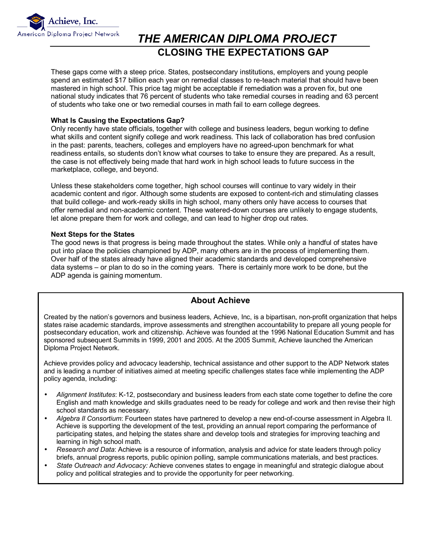

# *THE AMERICAN DIPLOMA PROJECT*   **CLOSING THE EXPECTATIONS GAP**

These gaps come with a steep price. States, postsecondary institutions, employers and young people spend an estimated \$17 billion each year on remedial classes to re-teach material that should have been mastered in high school. This price tag might be acceptable if remediation was a proven fix, but one national study indicates that 76 percent of students who take remedial courses in reading and 63 percent of students who take one or two remedial courses in math fail to earn college degrees.

#### **What Is Causing the Expectations Gap?**

Only recently have state officials, together with college and business leaders, begun working to define what skills and content signify college and work readiness. This lack of collaboration has bred confusion in the past: parents, teachers, colleges and employers have no agreed-upon benchmark for what readiness entails, so students donít know what courses to take to ensure they are prepared. As a result, the case is not effectively being made that hard work in high school leads to future success in the marketplace, college, and beyond.

Unless these stakeholders come together, high school courses will continue to vary widely in their academic content and rigor. Although some students are exposed to content-rich and stimulating classes that build college- and work-ready skills in high school, many others only have access to courses that offer remedial and non-academic content. These watered-down courses are unlikely to engage students, let alone prepare them for work and college, and can lead to higher drop out rates.

#### **Next Steps for the States**

The good news is that progress is being made throughout the states. While only a handful of states have put into place the policies championed by ADP, many others are in the process of implementing them. Over half of the states already have aligned their academic standards and developed comprehensive data systems  $-$  or plan to do so in the coming years. There is certainly more work to be done, but the ADP agenda is gaining momentum.

#### **About Achieve**

Created by the nationís governors and business leaders, Achieve, Inc, is a bipartisan, non-profit organization that helps states raise academic standards, improve assessments and strengthen accountability to prepare all young people for postsecondary education, work and citizenship. Achieve was founded at the 1996 National Education Summit and has sponsored subsequent Summits in 1999, 2001 and 2005. At the 2005 Summit, Achieve launched the American Diploma Project Network.

Achieve provides policy and advocacy leadership, technical assistance and other support to the ADP Network states and is leading a number of initiatives aimed at meeting specific challenges states face while implementing the ADP policy agenda, including:

- *Alignment Institutes*: K-12, postsecondary and business leaders from each state come together to define the core English and math knowledge and skills graduates need to be ready for college and work and then revise their high school standards as necessary.
- *Algebra II Consortium*: Fourteen states have partnered to develop a new end-of-course assessment in Algebra II. Achieve is supporting the development of the test, providing an annual report comparing the performance of participating states, and helping the states share and develop tools and strategies for improving teaching and learning in high school math.
- *Research and Data*: Achieve is a resource of information, analysis and advice for state leaders through policy briefs, annual progress reports, public opinion polling, sample communications materials, and best practices.
- *State Outreach and Advocacy:* Achieve convenes states to engage in meaningful and strategic dialogue about policy and political strategies and to provide the opportunity for peer networking.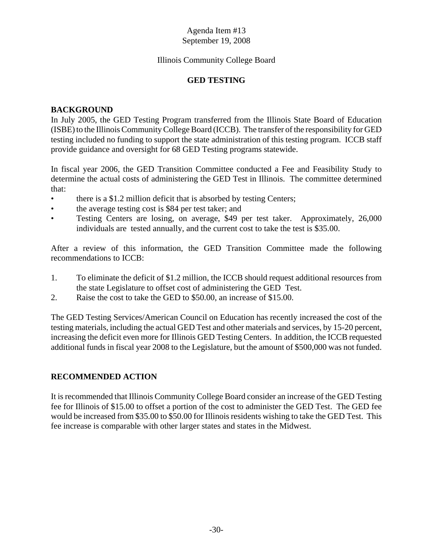#### Illinois Community College Board

#### **GED TESTING**

#### **BACKGROUND**

In July 2005, the GED Testing Program transferred from the Illinois State Board of Education (ISBE) to the Illinois Community College Board (ICCB). The transfer of the responsibility for GED testing included no funding to support the state administration of this testing program. ICCB staff provide guidance and oversight for 68 GED Testing programs statewide.

In fiscal year 2006, the GED Transition Committee conducted a Fee and Feasibility Study to determine the actual costs of administering the GED Test in Illinois. The committee determined that:

- there is a \$1.2 million deficit that is absorbed by testing Centers;
- the average testing cost is \$84 per test taker; and
- Testing Centers are losing, on average, \$49 per test taker. Approximately, 26,000 individuals are tested annually, and the current cost to take the test is \$35.00.

After a review of this information, the GED Transition Committee made the following recommendations to ICCB:

- 1. To eliminate the deficit of \$1.2 million, the ICCB should request additional resources from the state Legislature to offset cost of administering the GED Test.
- 2. Raise the cost to take the GED to \$50.00, an increase of \$15.00.

The GED Testing Services/American Council on Education has recently increased the cost of the testing materials, including the actual GED Test and other materials and services, by 15-20 percent, increasing the deficit even more for Illinois GED Testing Centers. In addition, the ICCB requested additional funds in fiscal year 2008 to the Legislature, but the amount of \$500,000 was not funded.

#### **RECOMMENDED ACTION**

It is recommended that Illinois Community College Board consider an increase of the GED Testing fee for Illinois of \$15.00 to offset a portion of the cost to administer the GED Test. The GED fee would be increased from \$35.00 to \$50.00 for Illinois residents wishing to take the GED Test. This fee increase is comparable with other larger states and states in the Midwest.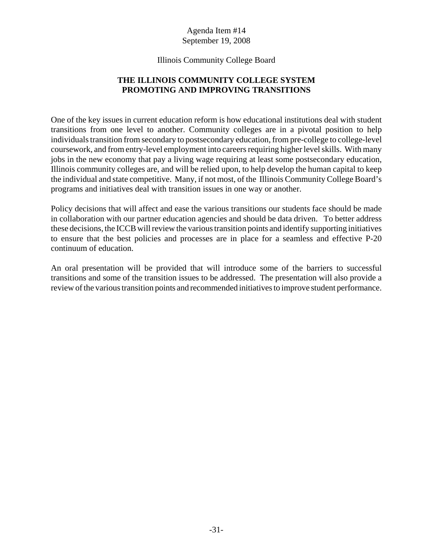#### Illinois Community College Board

#### **THE ILLINOIS COMMUNITY COLLEGE SYSTEM PROMOTING AND IMPROVING TRANSITIONS**

One of the key issues in current education reform is how educational institutions deal with student transitions from one level to another. Community colleges are in a pivotal position to help individuals transition from secondary to postsecondary education, from pre-college to college-level coursework, and from entry-level employment into careers requiring higher level skills. With many jobs in the new economy that pay a living wage requiring at least some postsecondary education, Illinois community colleges are, and will be relied upon, to help develop the human capital to keep the individual and state competitive. Many, if not most, of the Illinois Community College Board's programs and initiatives deal with transition issues in one way or another.

Policy decisions that will affect and ease the various transitions our students face should be made in collaboration with our partner education agencies and should be data driven. To better address these decisions, the ICCB will review the various transition points and identify supporting initiatives to ensure that the best policies and processes are in place for a seamless and effective P-20 continuum of education.

An oral presentation will be provided that will introduce some of the barriers to successful transitions and some of the transition issues to be addressed. The presentation will also provide a review of the various transition points and recommended initiatives to improve student performance.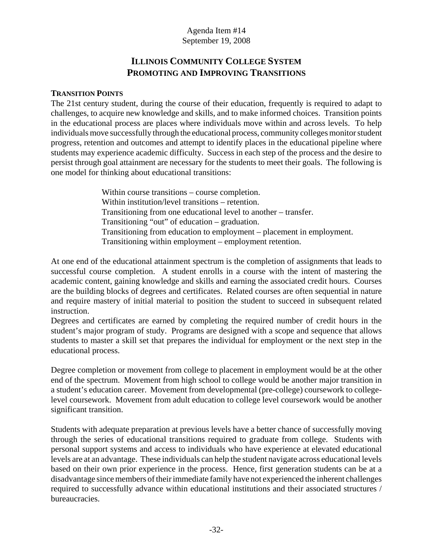# **ILLINOIS COMMUNITY COLLEGE SYSTEM PROMOTING AND IMPROVING TRANSITIONS**

#### **TRANSITION POINTS**

The 21st century student, during the course of their education, frequently is required to adapt to challenges, to acquire new knowledge and skills, and to make informed choices. Transition points in the educational process are places where individuals move within and across levels. To help individuals move successfully through the educational process, community colleges monitor student progress, retention and outcomes and attempt to identify places in the educational pipeline where students may experience academic difficulty. Success in each step of the process and the desire to persist through goal attainment are necessary for the students to meet their goals. The following is one model for thinking about educational transitions:

> Within course transitions – course completion. Within institution/level transitions – retention. Transitioning from one educational level to another – transfer. Transitioning "out" of education – graduation. Transitioning from education to employment – placement in employment. Transitioning within employment – employment retention.

At one end of the educational attainment spectrum is the completion of assignments that leads to successful course completion. A student enrolls in a course with the intent of mastering the academic content, gaining knowledge and skills and earning the associated credit hours. Courses are the building blocks of degrees and certificates. Related courses are often sequential in nature and require mastery of initial material to position the student to succeed in subsequent related instruction.

Degrees and certificates are earned by completing the required number of credit hours in the student's major program of study. Programs are designed with a scope and sequence that allows students to master a skill set that prepares the individual for employment or the next step in the educational process.

Degree completion or movement from college to placement in employment would be at the other end of the spectrum. Movement from high school to college would be another major transition in a student's education career. Movement from developmental (pre-college) coursework to collegelevel coursework. Movement from adult education to college level coursework would be another significant transition.

Students with adequate preparation at previous levels have a better chance of successfully moving through the series of educational transitions required to graduate from college. Students with personal support systems and access to individuals who have experience at elevated educational levels are at an advantage. These individuals can help the student navigate across educational levels based on their own prior experience in the process. Hence, first generation students can be at a disadvantage since members of their immediate family have not experienced the inherent challenges required to successfully advance within educational institutions and their associated structures / bureaucracies.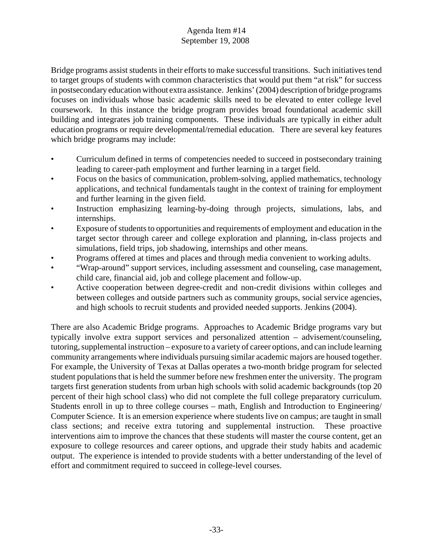Bridge programs assist students in their efforts to make successful transitions. Such initiatives tend to target groups of students with common characteristics that would put them "at risk" for success in postsecondary education without extra assistance. Jenkins' (2004) description of bridge programs focuses on individuals whose basic academic skills need to be elevated to enter college level coursework. In this instance the bridge program provides broad foundational academic skill building and integrates job training components. These individuals are typically in either adult education programs or require developmental/remedial education. There are several key features which bridge programs may include:

- Curriculum defined in terms of competencies needed to succeed in postsecondary training leading to career-path employment and further learning in a target field.
- Focus on the basics of communication, problem-solving, applied mathematics, technology applications, and technical fundamentals taught in the context of training for employment and further learning in the given field.
- Instruction emphasizing learning-by-doing through projects, simulations, labs, and internships.
- Exposure of students to opportunities and requirements of employment and education in the target sector through career and college exploration and planning, in-class projects and simulations, field trips, job shadowing, internships and other means.
- Programs offered at times and places and through media convenient to working adults.
- "Wrap-around" support services, including assessment and counseling, case management, child care, financial aid, job and college placement and follow-up.
- Active cooperation between degree-credit and non-credit divisions within colleges and between colleges and outside partners such as community groups, social service agencies, and high schools to recruit students and provided needed supports. Jenkins (2004).

There are also Academic Bridge programs. Approaches to Academic Bridge programs vary but typically involve extra support services and personalized attention – advisement/counseling, tutoring, supplemental instruction – exposure to a variety of career options, and can include learning community arrangements where individuals pursuing similar academic majors are housed together. For example, the University of Texas at Dallas operates a two-month bridge program for selected student populations that is held the summer before new freshmen enter the university. The program targets first generation students from urban high schools with solid academic backgrounds (top 20 percent of their high school class) who did not complete the full college preparatory curriculum. Students enroll in up to three college courses – math, English and Introduction to Engineering/ Computer Science. It is an emersion experience where students live on campus; are taught in small class sections; and receive extra tutoring and supplemental instruction. These proactive interventions aim to improve the chances that these students will master the course content, get an exposure to college resources and career options, and upgrade their study habits and academic output. The experience is intended to provide students with a better understanding of the level of effort and commitment required to succeed in college-level courses.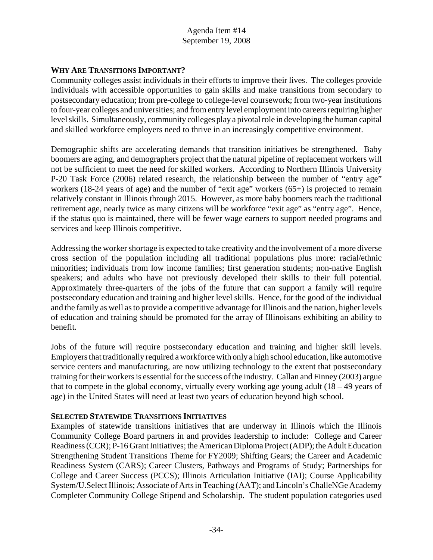#### **WHY ARE TRANSITIONS IMPORTANT?**

Community colleges assist individuals in their efforts to improve their lives. The colleges provide individuals with accessible opportunities to gain skills and make transitions from secondary to postsecondary education; from pre-college to college-level coursework; from two-year institutions to four-year colleges and universities; and from entry level employment into careers requiring higher level skills. Simultaneously, community colleges play a pivotal role in developing the human capital and skilled workforce employers need to thrive in an increasingly competitive environment.

Demographic shifts are accelerating demands that transition initiatives be strengthened. Baby boomers are aging, and demographers project that the natural pipeline of replacement workers will not be sufficient to meet the need for skilled workers. According to Northern Illinois University P-20 Task Force (2006) related research, the relationship between the number of "entry age" workers (18-24 years of age) and the number of "exit age" workers (65+) is projected to remain relatively constant in Illinois through 2015. However, as more baby boomers reach the traditional retirement age, nearly twice as many citizens will be workforce "exit age" as "entry age". Hence, if the status quo is maintained, there will be fewer wage earners to support needed programs and services and keep Illinois competitive.

Addressing the worker shortage is expected to take creativity and the involvement of a more diverse cross section of the population including all traditional populations plus more: racial/ethnic minorities; individuals from low income families; first generation students; non-native English speakers; and adults who have not previously developed their skills to their full potential. Approximately three-quarters of the jobs of the future that can support a family will require postsecondary education and training and higher level skills. Hence, for the good of the individual and the family as well as to provide a competitive advantage for Illinois and the nation, higher levels of education and training should be promoted for the array of Illinoisans exhibiting an ability to benefit.

Jobs of the future will require postsecondary education and training and higher skill levels. Employers that traditionally required a workforce with only a high school education, like automotive service centers and manufacturing, are now utilizing technology to the extent that postsecondary training for their workers is essential for the success of the industry. Callan and Finney (2003) argue that to compete in the global economy, virtually every working age young adult  $(18 - 49)$  years of age) in the United States will need at least two years of education beyond high school.

#### **SELECTED STATEWIDE TRANSITIONS INITIATIVES**

Examples of statewide transitions initiatives that are underway in Illinois which the Illinois Community College Board partners in and provides leadership to include: College and Career Readiness (CCR); P-16 Grant Initiatives; the American Diploma Project (ADP); the Adult Education Strengthening Student Transitions Theme for FY2009; Shifting Gears; the Career and Academic Readiness System (CARS); Career Clusters, Pathways and Programs of Study; Partnerships for College and Career Success (PCCS); Illinois Articulation Initiative (IAI); Course Applicability System/U.Select Illinois; Associate of Arts in Teaching (AAT); and Lincoln's ChalleNGe Academy Completer Community College Stipend and Scholarship. The student population categories used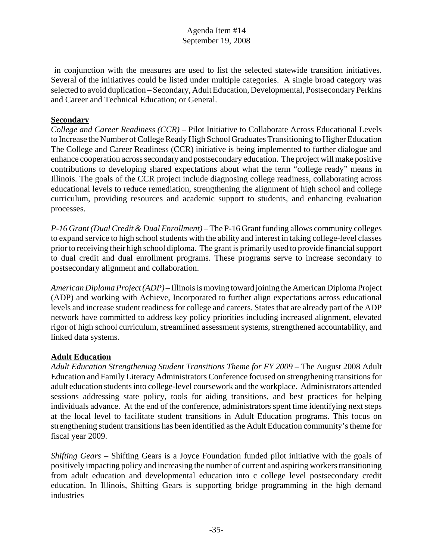in conjunction with the measures are used to list the selected statewide transition initiatives. Several of the initiatives could be listed under multiple categories. A single broad category was selected to avoid duplication – Secondary, Adult Education, Developmental, Postsecondary Perkins and Career and Technical Education; or General.

#### **Secondary**

*College and Career Readiness (CCR)* – Pilot Initiative to Collaborate Across Educational Levels to Increase the Number of College Ready High School Graduates Transitioning to Higher Education The College and Career Readiness (CCR) initiative is being implemented to further dialogue and enhance cooperation across secondary and postsecondary education. The project will make positive contributions to developing shared expectations about what the term "college ready" means in Illinois. The goals of the CCR project include diagnosing college readiness, collaborating across educational levels to reduce remediation, strengthening the alignment of high school and college curriculum, providing resources and academic support to students, and enhancing evaluation processes.

*P-16 Grant (Dual Credit & Dual Enrollment)* – The P-16 Grant funding allows community colleges to expand service to high school students with the ability and interest in taking college-level classes prior to receiving their high school diploma. The grant is primarily used to provide financial support to dual credit and dual enrollment programs. These programs serve to increase secondary to postsecondary alignment and collaboration.

*American Diploma Project (ADP)* – Illinois is moving toward joining the American Diploma Project (ADP) and working with Achieve, Incorporated to further align expectations across educational levels and increase student readiness for college and careers. States that are already part of the ADP network have committed to address key policy priorities including increased alignment, elevated rigor of high school curriculum, streamlined assessment systems, strengthened accountability, and linked data systems.

#### **Adult Education**

*Adult Education Strengthening Student Transitions Theme for FY 2009* – The August 2008 Adult Education and Family Literacy Administrators Conference focused on strengthening transitions for adult education students into college-level coursework and the workplace. Administrators attended sessions addressing state policy, tools for aiding transitions, and best practices for helping individuals advance. At the end of the conference, administrators spent time identifying next steps at the local level to facilitate student transitions in Adult Education programs. This focus on strengthening student transitions has been identified as the Adult Education community's theme for fiscal year 2009.

*Shifting Gears* – Shifting Gears is a Joyce Foundation funded pilot initiative with the goals of positively impacting policy and increasing the number of current and aspiring workers transitioning from adult education and developmental education into c college level postsecondary credit education. In Illinois, Shifting Gears is supporting bridge programming in the high demand industries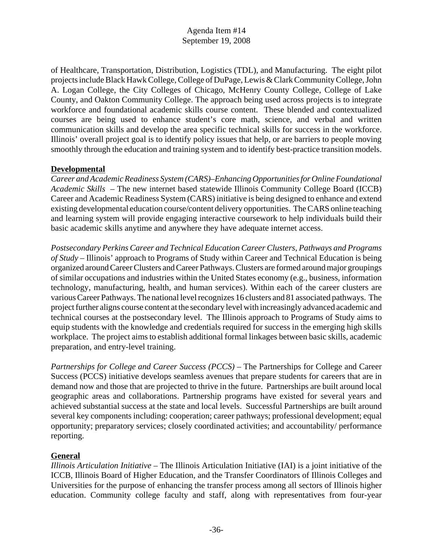of Healthcare, Transportation, Distribution, Logistics (TDL), and Manufacturing. The eight pilot projects include Black Hawk College, College of DuPage, Lewis & Clark Community College, John A. Logan College, the City Colleges of Chicago, McHenry County College, College of Lake County, and Oakton Community College. The approach being used across projects is to integrate workforce and foundational academic skills course content. These blended and contextualized courses are being used to enhance student's core math, science, and verbal and written communication skills and develop the area specific technical skills for success in the workforce. Illinois' overall project goal is to identify policy issues that help, or are barriers to people moving smoothly through the education and training system and to identify best-practice transition models.

# **Developmental**

*Career and Academic Readiness System (CARS)–Enhancing Opportunities for Online Foundational Academic Skills* – The new internet based statewide Illinois Community College Board (ICCB) Career and Academic Readiness System (CARS) initiative is being designed to enhance and extend existing developmental education course/content delivery opportunities. The CARS online teaching and learning system will provide engaging interactive coursework to help individuals build their basic academic skills anytime and anywhere they have adequate internet access.

*Postsecondary Perkins Career and Technical Education Career Clusters, Pathways and Programs of Study* – Illinois' approach to Programs of Study within Career and Technical Education is being organized around Career Clusters and Career Pathways. Clusters are formed around major groupings of similar occupations and industries within the United States economy (e.g., business, information technology, manufacturing, health, and human services). Within each of the career clusters are various Career Pathways. The national level recognizes 16 clusters and 81 associated pathways. The project further aligns course content at the secondary level with increasingly advanced academic and technical courses at the postsecondary level. The Illinois approach to Programs of Study aims to equip students with the knowledge and credentials required for success in the emerging high skills workplace. The project aims to establish additional formal linkages between basic skills, academic preparation, and entry-level training.

*Partnerships for College and Career Success (PCCS)* – The Partnerships for College and Career Success (PCCS) initiative develops seamless avenues that prepare students for careers that are in demand now and those that are projected to thrive in the future. Partnerships are built around local geographic areas and collaborations. Partnership programs have existed for several years and achieved substantial success at the state and local levels. Successful Partnerships are built around several key components including: cooperation; career pathways; professional development; equal opportunity; preparatory services; closely coordinated activities; and accountability/ performance reporting.

#### **General**

*Illinois Articulation Initiative* – The Illinois Articulation Initiative (IAI) is a joint initiative of the ICCB, Illinois Board of Higher Education, and the Transfer Coordinators of Illinois Colleges and Universities for the purpose of enhancing the transfer process among all sectors of Illinois higher education. Community college faculty and staff, along with representatives from four-year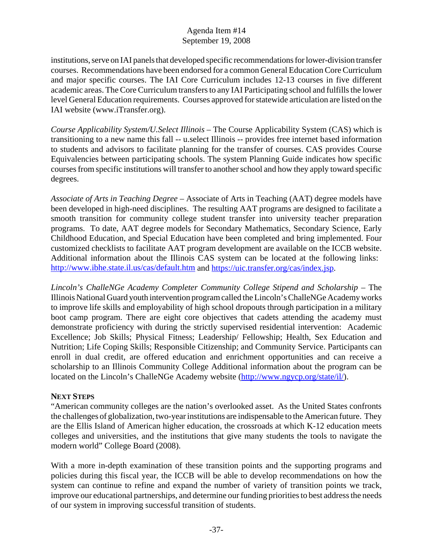institutions, serve on IAI panels that developed specific recommendations for lower-division transfer courses. Recommendations have been endorsed for a common General Education Core Curriculum and major specific courses. The IAI Core Curriculum includes 12-13 courses in five different academic areas. The Core Curriculum transfers to any IAI Participating school and fulfills the lower level General Education requirements. Courses approved for statewide articulation are listed on the IAI website (www.iTransfer.org).

*Course Applicability System/U.Select Illinois* – The Course Applicability System (CAS) which is transitioning to a new name this fall -- u.select Illinois -- provides free internet based information to students and advisors to facilitate planning for the transfer of courses. CAS provides Course Equivalencies between participating schools. The system Planning Guide indicates how specific courses from specific institutions will transfer to another school and how they apply toward specific degrees.

*Associate of Arts in Teaching Degree* – Associate of Arts in Teaching (AAT) degree models have been developed in high-need disciplines. The resulting AAT programs are designed to facilitate a smooth transition for community college student transfer into university teacher preparation programs. To date, AAT degree models for Secondary Mathematics, Secondary Science, Early Childhood Education, and Special Education have been completed and bring implemented. Four customized checklists to facilitate AAT program development are available on the ICCB website. Additional information about the Illinois CAS system can be located at the following links: http://www.ibhe.state.il.us/cas/default.htm and https://uic.transfer.org/cas/index.jsp.

*Lincoln's ChalleNGe Academy Completer Community College Stipend and Scholarship* – The Illinois National Guard youth intervention program called the Lincoln's ChalleNGe Academy works to improve life skills and employability of high school dropouts through participation in a military boot camp program. There are eight core objectives that cadets attending the academy must demonstrate proficiency with during the strictly supervised residential intervention: Academic Excellence; Job Skills; Physical Fitness; Leadership/ Fellowship; Health, Sex Education and Nutrition; Life Coping Skills; Responsible Citizenship; and Community Service. Participants can enroll in dual credit, are offered education and enrichment opportunities and can receive a scholarship to an Illinois Community College Additional information about the program can be located on the Lincoln's ChalleNGe Academy website (http://www.ngycp.org/state/il/).

#### **NEXT STEPS**

"American community colleges are the nation's overlooked asset. As the United States confronts the challenges of globalization, two-year institutions are indispensable to the American future. They are the Ellis Island of American higher education, the crossroads at which K-12 education meets colleges and universities, and the institutions that give many students the tools to navigate the modern world" College Board (2008).

With a more in-depth examination of these transition points and the supporting programs and policies during this fiscal year, the ICCB will be able to develop recommendations on how the system can continue to refine and expand the number of variety of transition points we track, improve our educational partnerships, and determine our funding priorities to best address the needs of our system in improving successful transition of students.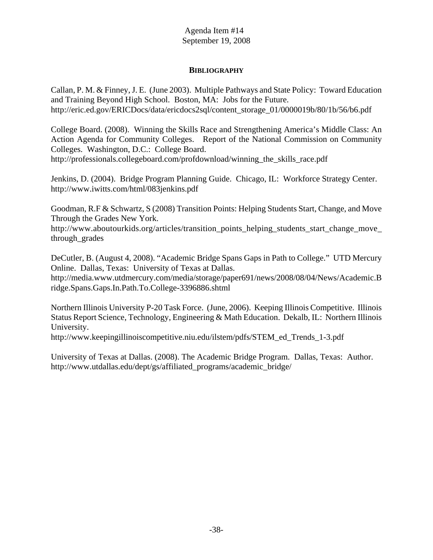#### **BIBLIOGRAPHY**

Callan, P. M. & Finney, J. E. (June 2003). Multiple Pathways and State Policy: Toward Education and Training Beyond High School. Boston, MA: Jobs for the Future. http://eric.ed.gov/ERICDocs/data/ericdocs2sql/content\_storage\_01/0000019b/80/1b/56/b6.pdf

College Board. (2008). Winning the Skills Race and Strengthening America's Middle Class: An Action Agenda for Community Colleges. Report of the National Commission on Community Colleges. Washington, D.C.: College Board. http://professionals.collegeboard.com/profdownload/winning\_the\_skills\_race.pdf

Jenkins, D. (2004). Bridge Program Planning Guide. Chicago, IL: Workforce Strategy Center. http://www.iwitts.com/html/083jenkins.pdf

Goodman, R.F & Schwartz, S (2008) Transition Points: Helping Students Start, Change, and Move Through the Grades New York.

http://www.aboutourkids.org/articles/transition\_points\_helping\_students\_start\_change\_move\_ through\_grades

DeCutler, B. (August 4, 2008). "Academic Bridge Spans Gaps in Path to College." UTD Mercury Online. Dallas, Texas: University of Texas at Dallas.

http://media.www.utdmercury.com/media/storage/paper691/news/2008/08/04/News/Academic.B ridge.Spans.Gaps.In.Path.To.College-3396886.shtml

Northern Illinois University P-20 Task Force. (June, 2006). Keeping Illinois Competitive. Illinois Status Report Science, Technology, Engineering & Math Education. Dekalb, IL: Northern Illinois University.

http://www.keepingillinoiscompetitive.niu.edu/ilstem/pdfs/STEM\_ed\_Trends\_1-3.pdf

University of Texas at Dallas. (2008). The Academic Bridge Program. Dallas, Texas: Author. http://www.utdallas.edu/dept/gs/affiliated\_programs/academic\_bridge/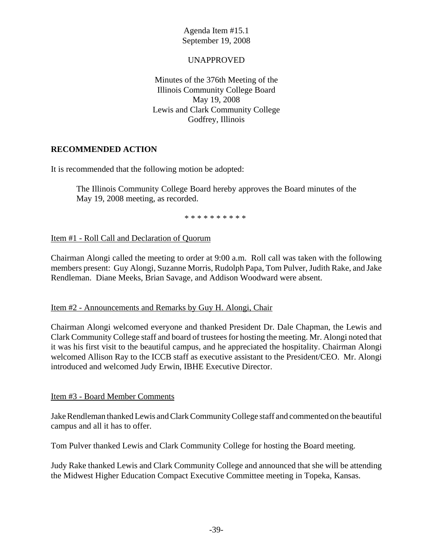#### UNAPPROVED

Minutes of the 376th Meeting of the Illinois Community College Board May 19, 2008 Lewis and Clark Community College Godfrey, Illinois

# **RECOMMENDED ACTION**

It is recommended that the following motion be adopted:

The Illinois Community College Board hereby approves the Board minutes of the May 19, 2008 meeting, as recorded.

\* \* \* \* \* \* \* \* \* \*

Item #1 - Roll Call and Declaration of Quorum

Chairman Alongi called the meeting to order at 9:00 a.m. Roll call was taken with the following members present: Guy Alongi, Suzanne Morris, Rudolph Papa, Tom Pulver, Judith Rake, and Jake Rendleman. Diane Meeks, Brian Savage, and Addison Woodward were absent.

#### Item #2 - Announcements and Remarks by Guy H. Alongi, Chair

Chairman Alongi welcomed everyone and thanked President Dr. Dale Chapman, the Lewis and Clark Community College staff and board of trustees for hosting the meeting. Mr. Alongi noted that it was his first visit to the beautiful campus, and he appreciated the hospitality. Chairman Alongi welcomed Allison Ray to the ICCB staff as executive assistant to the President/CEO. Mr. Alongi introduced and welcomed Judy Erwin, IBHE Executive Director.

#### Item #3 - Board Member Comments

Jake Rendleman thanked Lewis and Clark Community College staff and commented on the beautiful campus and all it has to offer.

Tom Pulver thanked Lewis and Clark Community College for hosting the Board meeting.

Judy Rake thanked Lewis and Clark Community College and announced that she will be attending the Midwest Higher Education Compact Executive Committee meeting in Topeka, Kansas.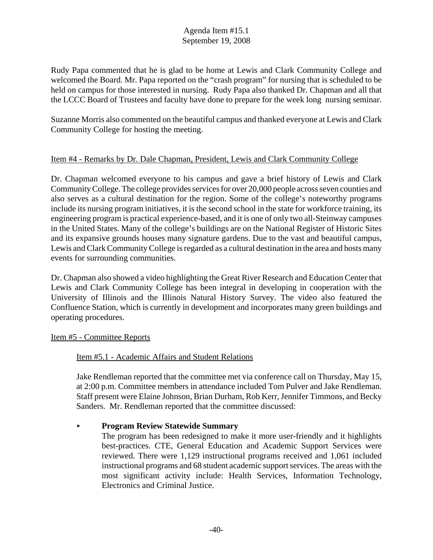Rudy Papa commented that he is glad to be home at Lewis and Clark Community College and welcomed the Board. Mr. Papa reported on the "crash program" for nursing that is scheduled to be held on campus for those interested in nursing. Rudy Papa also thanked Dr. Chapman and all that the LCCC Board of Trustees and faculty have done to prepare for the week long nursing seminar.

Suzanne Morris also commented on the beautiful campus and thanked everyone at Lewis and Clark Community College for hosting the meeting.

#### Item #4 - Remarks by Dr. Dale Chapman, President, Lewis and Clark Community College

Dr. Chapman welcomed everyone to his campus and gave a brief history of Lewis and Clark Community College. The college provides services for over 20,000 people across seven counties and also serves as a cultural destination for the region. Some of the college's noteworthy programs include its nursing program initiatives, it is the second school in the state for workforce training, its engineering program is practical experience-based, and it is one of only two all-Steinway campuses in the United States. Many of the college's buildings are on the National Register of Historic Sites and its expansive grounds houses many signature gardens. Due to the vast and beautiful campus, Lewis and Clark Community College is regarded as a cultural destination in the area and hosts many events for surrounding communities.

Dr. Chapman also showed a video highlighting the Great River Research and Education Center that Lewis and Clark Community College has been integral in developing in cooperation with the University of Illinois and the Illinois Natural History Survey. The video also featured the Confluence Station, which is currently in development and incorporates many green buildings and operating procedures.

#### Item #5 - Committee Reports

#### Item #5.1 - Academic Affairs and Student Relations

Jake Rendleman reported that the committee met via conference call on Thursday, May 15, at 2:00 p.m. Committee members in attendance included Tom Pulver and Jake Rendleman. Staff present were Elaine Johnson, Brian Durham, Rob Kerr, Jennifer Timmons, and Becky Sanders. Mr. Rendleman reported that the committee discussed:

#### < **Program Review Statewide Summary**

The program has been redesigned to make it more user-friendly and it highlights best-practices. CTE, General Education and Academic Support Services were reviewed. There were 1,129 instructional programs received and 1,061 included instructional programs and 68 student academic support services. The areas with the most significant activity include: Health Services, Information Technology, Electronics and Criminal Justice.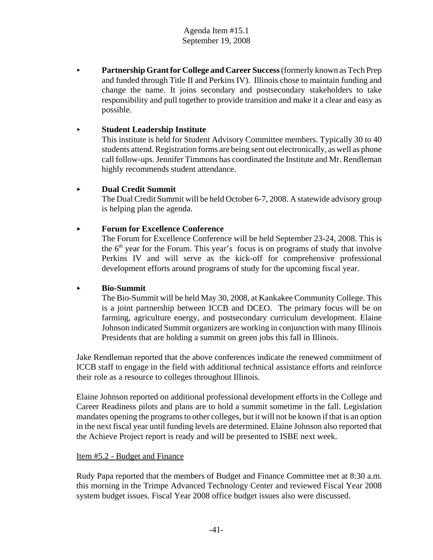**Partnership Grant for College and Career Success** (formerly known as Tech Prep and funded through Title II and Perkins IV). Illinois chose to maintain funding and change the name. It joins secondary and postsecondary stakeholders to take responsibility and pull together to provide transition and make it a clear and easy as possible.

#### < **Student Leadership Institute**

This institute is held for Student Advisory Committee members. Typically 30 to 40 students attend. Registration forms are being sent out electronically, as well as phone call follow-ups. Jennifer Timmons has coordinated the Institute and Mr. Rendleman highly recommends student attendance.

#### < **Dual Credit Summit**

The Dual Credit Summit will be held October 6-7, 2008. A statewide advisory group is helping plan the agenda.

# < **Forum for Excellence Conference**

The Forum for Excellence Conference will be held September 23-24, 2008. This is the  $6<sup>th</sup>$  year for the Forum. This year's focus is on programs of study that involve Perkins IV and will serve as the kick-off for comprehensive professional development efforts around programs of study for the upcoming fiscal year.

#### < **Bio-Summit**

The Bio-Summit will be held May 30, 2008, at Kankakee Community College. This is a joint partnership between ICCB and DCEO. The primary focus will be on farming, agriculture energy, and postsecondary curriculum development. Elaine Johnson indicated Summit organizers are working in conjunction with many Illinois Presidents that are holding a summit on green jobs this fall in Illinois.

Jake Rendleman reported that the above conferences indicate the renewed commitment of ICCB staff to engage in the field with additional technical assistance efforts and reinforce their role as a resource to colleges throughout Illinois.

Elaine Johnson reported on additional professional development efforts in the College and Career Readiness pilots and plans are to hold a summit sometime in the fall. Legislation mandates opening the programs to other colleges, but it will not be known if that is an option in the next fiscal year until funding levels are determined. Elaine Johnson also reported that the Achieve Project report is ready and will be presented to ISBE next week.

#### Item #5.2 - Budget and Finance

Rudy Papa reported that the members of Budget and Finance Committee met at 8:30 a.m. this morning in the Trimpe Advanced Technology Center and reviewed Fiscal Year 2008 system budget issues. Fiscal Year 2008 office budget issues also were discussed.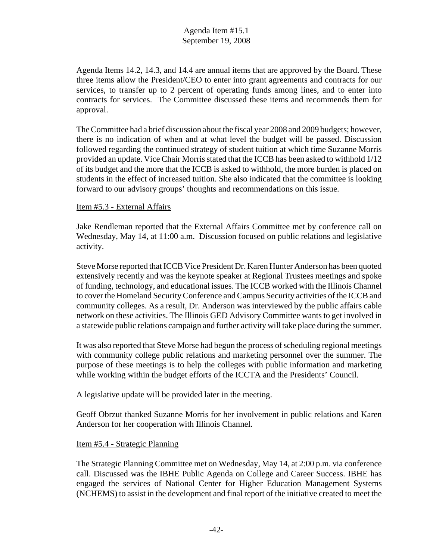Agenda Items 14.2, 14.3, and 14.4 are annual items that are approved by the Board. These three items allow the President/CEO to enter into grant agreements and contracts for our services, to transfer up to 2 percent of operating funds among lines, and to enter into contracts for services. The Committee discussed these items and recommends them for approval.

The Committee had a brief discussion about the fiscal year 2008 and 2009 budgets; however, there is no indication of when and at what level the budget will be passed. Discussion followed regarding the continued strategy of student tuition at which time Suzanne Morris provided an update. Vice Chair Morris stated that the ICCB has been asked to withhold 1/12 of its budget and the more that the ICCB is asked to withhold, the more burden is placed on students in the effect of increased tuition. She also indicated that the committee is looking forward to our advisory groups' thoughts and recommendations on this issue.

#### Item #5.3 - External Affairs

Jake Rendleman reported that the External Affairs Committee met by conference call on Wednesday, May 14, at 11:00 a.m. Discussion focused on public relations and legislative activity.

Steve Morse reported that ICCB Vice President Dr. Karen Hunter Anderson has been quoted extensively recently and was the keynote speaker at Regional Trustees meetings and spoke of funding, technology, and educational issues. The ICCB worked with the Illinois Channel to cover the Homeland Security Conference and Campus Security activities of the ICCB and community colleges. As a result, Dr. Anderson was interviewed by the public affairs cable network on these activities. The Illinois GED Advisory Committee wants to get involved in a statewide public relations campaign and further activity will take place during the summer.

It was also reported that Steve Morse had begun the process of scheduling regional meetings with community college public relations and marketing personnel over the summer. The purpose of these meetings is to help the colleges with public information and marketing while working within the budget efforts of the ICCTA and the Presidents' Council.

A legislative update will be provided later in the meeting.

Geoff Obrzut thanked Suzanne Morris for her involvement in public relations and Karen Anderson for her cooperation with Illinois Channel.

#### Item #5.4 - Strategic Planning

The Strategic Planning Committee met on Wednesday, May 14, at 2:00 p.m. via conference call. Discussed was the IBHE Public Agenda on College and Career Success. IBHE has engaged the services of National Center for Higher Education Management Systems (NCHEMS) to assist in the development and final report of the initiative created to meet the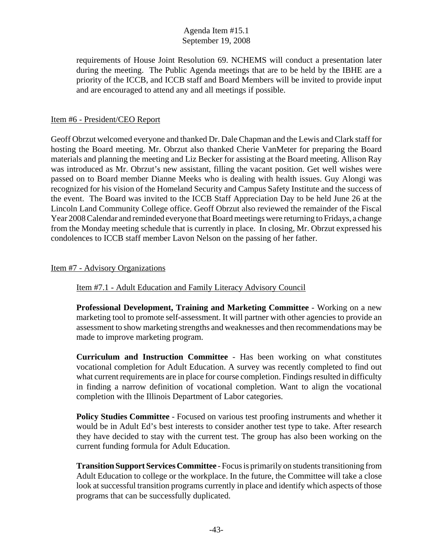requirements of House Joint Resolution 69. NCHEMS will conduct a presentation later during the meeting. The Public Agenda meetings that are to be held by the IBHE are a priority of the ICCB, and ICCB staff and Board Members will be invited to provide input and are encouraged to attend any and all meetings if possible.

#### Item #6 - President/CEO Report

Geoff Obrzut welcomed everyone and thanked Dr. Dale Chapman and the Lewis and Clark staff for hosting the Board meeting. Mr. Obrzut also thanked Cherie VanMeter for preparing the Board materials and planning the meeting and Liz Becker for assisting at the Board meeting. Allison Ray was introduced as Mr. Obrzut's new assistant, filling the vacant position. Get well wishes were passed on to Board member Dianne Meeks who is dealing with health issues. Guy Alongi was recognized for his vision of the Homeland Security and Campus Safety Institute and the success of the event. The Board was invited to the ICCB Staff Appreciation Day to be held June 26 at the Lincoln Land Community College office. Geoff Obrzut also reviewed the remainder of the Fiscal Year 2008 Calendar and reminded everyone that Board meetings were returning to Fridays, a change from the Monday meeting schedule that is currently in place. In closing, Mr. Obrzut expressed his condolences to ICCB staff member Lavon Nelson on the passing of her father.

#### Item #7 - Advisory Organizations

Item #7.1 - Adult Education and Family Literacy Advisory Council

**Professional Development, Training and Marketing Committee** - Working on a new marketing tool to promote self-assessment. It will partner with other agencies to provide an assessment to show marketing strengths and weaknesses and then recommendations may be made to improve marketing program.

**Curriculum and Instruction Committee** - Has been working on what constitutes vocational completion for Adult Education. A survey was recently completed to find out what current requirements are in place for course completion. Findings resulted in difficulty in finding a narrow definition of vocational completion. Want to align the vocational completion with the Illinois Department of Labor categories.

**Policy Studies Committee** - Focused on various test proofing instruments and whether it would be in Adult Ed's best interests to consider another test type to take. After research they have decided to stay with the current test. The group has also been working on the current funding formula for Adult Education.

**Transition Support Services Committee** - Focus is primarily on students transitioning from Adult Education to college or the workplace. In the future, the Committee will take a close look at successful transition programs currently in place and identify which aspects of those programs that can be successfully duplicated.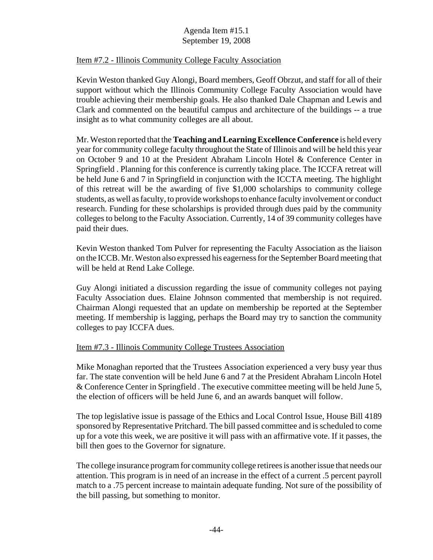#### Item #7.2 - Illinois Community College Faculty Association

Kevin Weston thanked Guy Alongi, Board members, Geoff Obrzut, and staff for all of their support without which the Illinois Community College Faculty Association would have trouble achieving their membership goals. He also thanked Dale Chapman and Lewis and Clark and commented on the beautiful campus and architecture of the buildings -- a true insight as to what community colleges are all about.

Mr. Weston reported that the **Teaching and Learning Excellence Conference** is held every year for community college faculty throughout the State of Illinois and will be held this year on October 9 and 10 at the President Abraham Lincoln Hotel & Conference Center in Springfield . Planning for this conference is currently taking place. The ICCFA retreat will be held June 6 and 7 in Springfield in conjunction with the ICCTA meeting. The highlight of this retreat will be the awarding of five \$1,000 scholarships to community college students, as well as faculty, to provide workshops to enhance faculty involvement or conduct research. Funding for these scholarships is provided through dues paid by the community colleges to belong to the Faculty Association. Currently, 14 of 39 community colleges have paid their dues.

Kevin Weston thanked Tom Pulver for representing the Faculty Association as the liaison on the ICCB. Mr. Weston also expressed his eagerness for the September Board meeting that will be held at Rend Lake College.

Guy Alongi initiated a discussion regarding the issue of community colleges not paying Faculty Association dues. Elaine Johnson commented that membership is not required. Chairman Alongi requested that an update on membership be reported at the September meeting. If membership is lagging, perhaps the Board may try to sanction the community colleges to pay ICCFA dues.

#### Item #7.3 - Illinois Community College Trustees Association

Mike Monaghan reported that the Trustees Association experienced a very busy year thus far. The state convention will be held June 6 and 7 at the President Abraham Lincoln Hotel & Conference Center in Springfield . The executive committee meeting will be held June 5, the election of officers will be held June 6, and an awards banquet will follow.

The top legislative issue is passage of the Ethics and Local Control Issue, House Bill 4189 sponsored by Representative Pritchard. The bill passed committee and is scheduled to come up for a vote this week, we are positive it will pass with an affirmative vote. If it passes, the bill then goes to the Governor for signature.

The college insurance program for community college retirees is another issue that needs our attention. This program is in need of an increase in the effect of a current .5 percent payroll match to a .75 percent increase to maintain adequate funding. Not sure of the possibility of the bill passing, but something to monitor.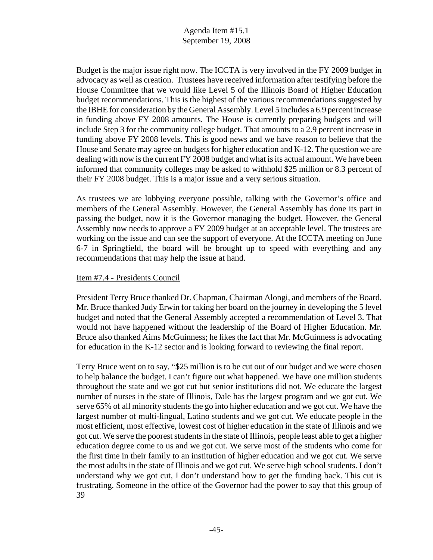Budget is the major issue right now. The ICCTA is very involved in the FY 2009 budget in advocacy as well as creation. Trustees have received information after testifying before the House Committee that we would like Level 5 of the Illinois Board of Higher Education budget recommendations. This is the highest of the various recommendations suggested by the IBHE for consideration by the General Assembly. Level 5 includes a 6.9 percent increase in funding above FY 2008 amounts. The House is currently preparing budgets and will include Step 3 for the community college budget. That amounts to a 2.9 percent increase in funding above FY 2008 levels. This is good news and we have reason to believe that the House and Senate may agree on budgets for higher education and K-12. The question we are dealing with now is the current FY 2008 budget and what is its actual amount. We have been informed that community colleges may be asked to withhold \$25 million or 8.3 percent of their FY 2008 budget. This is a major issue and a very serious situation.

As trustees we are lobbying everyone possible, talking with the Governor's office and members of the General Assembly. However, the General Assembly has done its part in passing the budget, now it is the Governor managing the budget. However, the General Assembly now needs to approve a FY 2009 budget at an acceptable level. The trustees are working on the issue and can see the support of everyone. At the ICCTA meeting on June 6-7 in Springfield, the board will be brought up to speed with everything and any recommendations that may help the issue at hand.

#### Item #7.4 - Presidents Council

President Terry Bruce thanked Dr. Chapman, Chairman Alongi, and members of the Board. Mr. Bruce thanked Judy Erwin for taking her board on the journey in developing the 5 level budget and noted that the General Assembly accepted a recommendation of Level 3. That would not have happened without the leadership of the Board of Higher Education. Mr. Bruce also thanked Aims McGuinness; he likes the fact that Mr. McGuinness is advocating for education in the K-12 sector and is looking forward to reviewing the final report.

Terry Bruce went on to say, "\$25 million is to be cut out of our budget and we were chosen to help balance the budget. I can't figure out what happened. We have one million students throughout the state and we got cut but senior institutions did not. We educate the largest number of nurses in the state of Illinois, Dale has the largest program and we got cut. We serve 65% of all minority students the go into higher education and we got cut. We have the largest number of multi-lingual, Latino students and we got cut. We educate people in the most efficient, most effective, lowest cost of higher education in the state of Illinois and we got cut. We serve the poorest students in the state of Illinois, people least able to get a higher education degree come to us and we got cut. We serve most of the students who come for the first time in their family to an institution of higher education and we got cut. We serve the most adults in the state of Illinois and we got cut. We serve high school students. I don't understand why we got cut, I don't understand how to get the funding back. This cut is frustrating. Someone in the office of the Governor had the power to say that this group of 39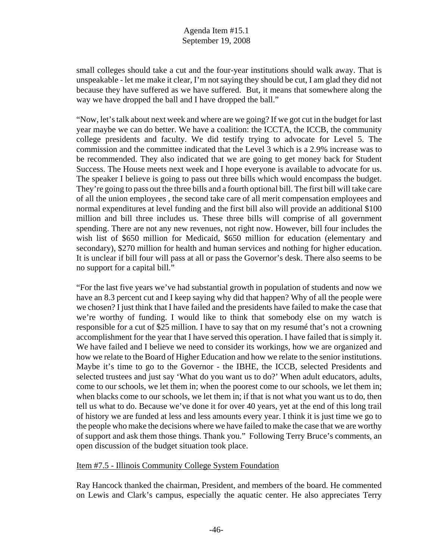small colleges should take a cut and the four-year institutions should walk away. That is unspeakable - let me make it clear, I'm not saying they should be cut, I am glad they did not because they have suffered as we have suffered. But, it means that somewhere along the way we have dropped the ball and I have dropped the ball."

"Now, let's talk about next week and where are we going? If we got cut in the budget for last year maybe we can do better. We have a coalition: the ICCTA, the ICCB, the community college presidents and faculty. We did testify trying to advocate for Level 5. The commission and the committee indicated that the Level 3 which is a 2.9% increase was to be recommended. They also indicated that we are going to get money back for Student Success. The House meets next week and I hope everyone is available to advocate for us. The speaker I believe is going to pass out three bills which would encompass the budget. They're going to pass out the three bills and a fourth optional bill. The first bill will take care of all the union employees , the second take care of all merit compensation employees and normal expenditures at level funding and the first bill also will provide an additional \$100 million and bill three includes us. These three bills will comprise of all government spending. There are not any new revenues, not right now. However, bill four includes the wish list of \$650 million for Medicaid, \$650 million for education (elementary and secondary), \$270 million for health and human services and nothing for higher education. It is unclear if bill four will pass at all or pass the Governor's desk. There also seems to be no support for a capital bill."

"For the last five years we've had substantial growth in population of students and now we have an 8.3 percent cut and I keep saying why did that happen? Why of all the people were we chosen? I just think that I have failed and the presidents have failed to make the case that we're worthy of funding. I would like to think that somebody else on my watch is responsible for a cut of \$25 million. I have to say that on my resumé that's not a crowning accomplishment for the year that I have served this operation. I have failed that is simply it. We have failed and I believe we need to consider its workings, how we are organized and how we relate to the Board of Higher Education and how we relate to the senior institutions. Maybe it's time to go to the Governor - the IBHE, the ICCB, selected Presidents and selected trustees and just say 'What do you want us to do?' When adult educators, adults, come to our schools, we let them in; when the poorest come to our schools, we let them in; when blacks come to our schools, we let them in; if that is not what you want us to do, then tell us what to do. Because we've done it for over 40 years, yet at the end of this long trail of history we are funded at less and less amounts every year. I think it is just time we go to the people who make the decisions where we have failed to make the case that we are worthy of support and ask them those things. Thank you." Following Terry Bruce's comments, an open discussion of the budget situation took place.

#### Item #7.5 - Illinois Community College System Foundation

Ray Hancock thanked the chairman, President, and members of the board. He commented on Lewis and Clark's campus, especially the aquatic center. He also appreciates Terry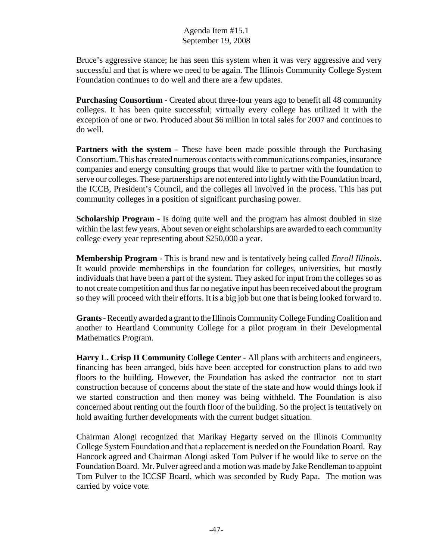Bruce's aggressive stance; he has seen this system when it was very aggressive and very successful and that is where we need to be again. The Illinois Community College System Foundation continues to do well and there are a few updates.

**Purchasing Consortium** - Created about three-four years ago to benefit all 48 community colleges. It has been quite successful; virtually every college has utilized it with the exception of one or two. Produced about \$6 million in total sales for 2007 and continues to do well.

**Partners with the system - These have been made possible through the Purchasing** Consortium. This has created numerous contacts with communications companies, insurance companies and energy consulting groups that would like to partner with the foundation to serve our colleges. These partnerships are not entered into lightly with the Foundation board, the ICCB, President's Council, and the colleges all involved in the process. This has put community colleges in a position of significant purchasing power.

**Scholarship Program** - Is doing quite well and the program has almost doubled in size within the last few years. About seven or eight scholarships are awarded to each community college every year representing about \$250,000 a year.

**Membership Program** - This is brand new and is tentatively being called *Enroll Illinois*. It would provide memberships in the foundation for colleges, universities, but mostly individuals that have been a part of the system. They asked for input from the colleges so as to not create competition and thus far no negative input has been received about the program so they will proceed with their efforts. It is a big job but one that is being looked forward to.

**Grants** - Recently awarded a grant to the Illinois Community College Funding Coalition and another to Heartland Community College for a pilot program in their Developmental Mathematics Program.

Harry L. Crisp II Community College Center - All plans with architects and engineers, financing has been arranged, bids have been accepted for construction plans to add two floors to the building. However, the Foundation has asked the contractor not to start construction because of concerns about the state of the state and how would things look if we started construction and then money was being withheld. The Foundation is also concerned about renting out the fourth floor of the building. So the project is tentatively on hold awaiting further developments with the current budget situation.

Chairman Alongi recognized that Marikay Hegarty served on the Illinois Community College System Foundation and that a replacement is needed on the Foundation Board. Ray Hancock agreed and Chairman Alongi asked Tom Pulver if he would like to serve on the Foundation Board. Mr. Pulver agreed and a motion was made by Jake Rendleman to appoint Tom Pulver to the ICCSF Board, which was seconded by Rudy Papa. The motion was carried by voice vote.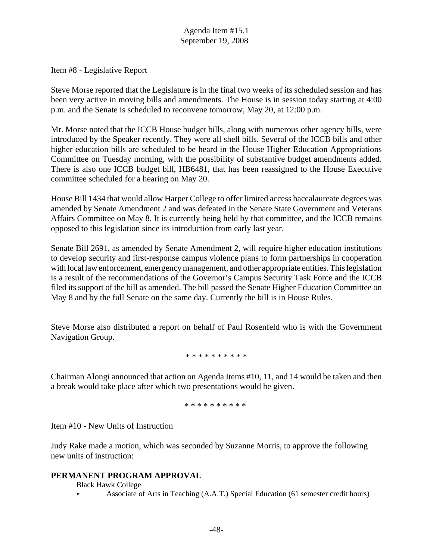#### Item #8 - Legislative Report

Steve Morse reported that the Legislature is in the final two weeks of its scheduled session and has been very active in moving bills and amendments. The House is in session today starting at 4:00 p.m. and the Senate is scheduled to reconvene tomorrow, May 20, at 12:00 p.m.

Mr. Morse noted that the ICCB House budget bills, along with numerous other agency bills, were introduced by the Speaker recently. They were all shell bills. Several of the ICCB bills and other higher education bills are scheduled to be heard in the House Higher Education Appropriations Committee on Tuesday morning, with the possibility of substantive budget amendments added. There is also one ICCB budget bill, HB6481, that has been reassigned to the House Executive committee scheduled for a hearing on May 20.

House Bill 1434 that would allow Harper College to offer limited access baccalaureate degrees was amended by Senate Amendment 2 and was defeated in the Senate State Government and Veterans Affairs Committee on May 8. It is currently being held by that committee, and the ICCB remains opposed to this legislation since its introduction from early last year.

Senate Bill 2691, as amended by Senate Amendment 2, will require higher education institutions to develop security and first-response campus violence plans to form partnerships in cooperation with local law enforcement, emergency management, and other appropriate entities. This legislation is a result of the recommendations of the Governor's Campus Security Task Force and the ICCB filed its support of the bill as amended. The bill passed the Senate Higher Education Committee on May 8 and by the full Senate on the same day. Currently the bill is in House Rules.

Steve Morse also distributed a report on behalf of Paul Rosenfeld who is with the Government Navigation Group.

\* \* \* \* \* \* \* \* \* \*

Chairman Alongi announced that action on Agenda Items #10, 11, and 14 would be taken and then a break would take place after which two presentations would be given.

\* \* \* \* \* \* \* \* \* \*

#### Item #10 - New Units of Instruction

Judy Rake made a motion, which was seconded by Suzanne Morris, to approve the following new units of instruction:

#### **PERMANENT PROGRAM APPROVAL**

Black Hawk College

< Associate of Arts in Teaching (A.A.T.) Special Education (61 semester credit hours)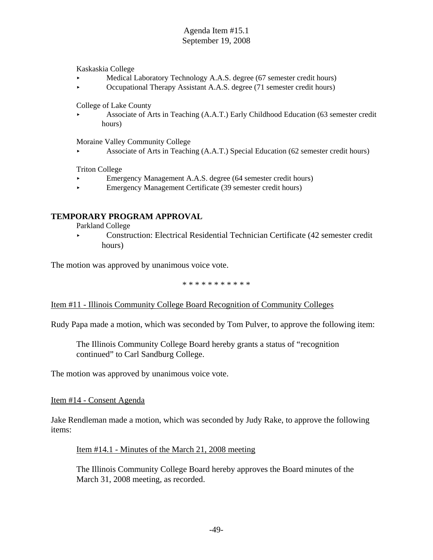Kaskaskia College

- < Medical Laboratory Technology A.A.S. degree (67 semester credit hours)
- < Occupational Therapy Assistant A.A.S. degree (71 semester credit hours)

College of Lake County

< Associate of Arts in Teaching (A.A.T.) Early Childhood Education (63 semester credit hours)

Moraine Valley Community College

< Associate of Arts in Teaching (A.A.T.) Special Education (62 semester credit hours)

Triton College

- < Emergency Management A.A.S. degree (64 semester credit hours)
- < Emergency Management Certificate (39 semester credit hours)

#### **TEMPORARY PROGRAM APPROVAL**

Parkland College

< Construction: Electrical Residential Technician Certificate (42 semester credit hours)

The motion was approved by unanimous voice vote.

\* \* \* \* \* \* \* \* \* \* \*

#### Item #11 - Illinois Community College Board Recognition of Community Colleges

Rudy Papa made a motion, which was seconded by Tom Pulver, to approve the following item:

The Illinois Community College Board hereby grants a status of "recognition continued" to Carl Sandburg College.

The motion was approved by unanimous voice vote.

Item #14 - Consent Agenda

Jake Rendleman made a motion, which was seconded by Judy Rake, to approve the following items:

#### Item #14.1 - Minutes of the March 21, 2008 meeting

The Illinois Community College Board hereby approves the Board minutes of the March 31, 2008 meeting, as recorded.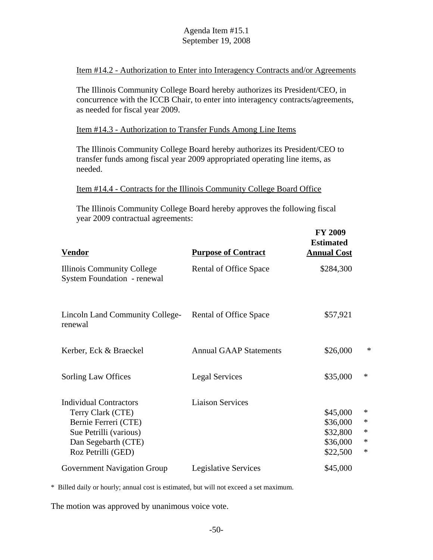Item #14.2 - Authorization to Enter into Interagency Contracts and/or Agreements

The Illinois Community College Board hereby authorizes its President/CEO, in concurrence with the ICCB Chair, to enter into interagency contracts/agreements, as needed for fiscal year 2009.

Item #14.3 - Authorization to Transfer Funds Among Line Items

The Illinois Community College Board hereby authorizes its President/CEO to transfer funds among fiscal year 2009 appropriated operating line items, as needed.

Item #14.4 - Contracts for the Illinois Community College Board Office

The Illinois Community College Board hereby approves the following fiscal year 2009 contractual agreements:

| <b>Vendor</b>                                                                                                                                     | <b>Purpose of Contract</b>    | <b>FY 2009</b><br><b>Estimated</b><br><b>Annual Cost</b> |                                                |
|---------------------------------------------------------------------------------------------------------------------------------------------------|-------------------------------|----------------------------------------------------------|------------------------------------------------|
| Illinois Community College<br><b>System Foundation - renewal</b>                                                                                  | Rental of Office Space        | \$284,300                                                |                                                |
| <b>Lincoln Land Community College-</b><br>renewal                                                                                                 | Rental of Office Space        | \$57,921                                                 |                                                |
| Kerber, Eck & Braeckel                                                                                                                            | <b>Annual GAAP Statements</b> | \$26,000                                                 | ∗                                              |
| Sorling Law Offices                                                                                                                               | <b>Legal Services</b>         | \$35,000                                                 | $\ast$                                         |
| <b>Individual Contractors</b><br>Terry Clark (CTE)<br>Bernie Ferreri (CTE)<br>Sue Petrilli (various)<br>Dan Segebarth (CTE)<br>Roz Petrilli (GED) | <b>Liaison Services</b>       | \$45,000<br>\$36,000<br>\$32,800<br>\$36,000<br>\$22,500 | $\ast$<br>$\ast$<br>$\ast$<br>$\ast$<br>$\ast$ |
| Government Navigation Group                                                                                                                       | <b>Legislative Services</b>   | \$45,000                                                 |                                                |

\* Billed daily or hourly; annual cost is estimated, but will not exceed a set maximum.

The motion was approved by unanimous voice vote.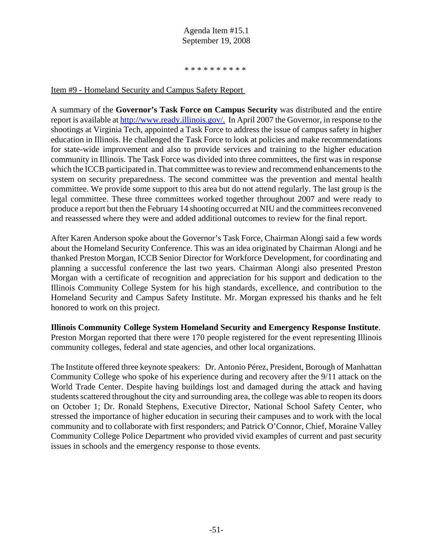#### \* \* \* \* \* \* \* \* \* \*

#### Item #9 - Homeland Security and Campus Safety Report

A summary of the **Governor's Task Force on Campus Security** was distributed and the entire report is available at http://www.ready.illinois.gov/. In April 2007 the Governor, in response to the shootings at Virginia Tech, appointed a Task Force to address the issue of campus safety in higher education in Illinois. He challenged the Task Force to look at policies and make recommendations for state-wide improvement and also to provide services and training to the higher education community in Illinois. The Task Force was divided into three committees, the first was in response which the ICCB participated in. That committee was to review and recommend enhancements to the system on security preparedness. The second committee was the prevention and mental health committee. We provide some support to this area but do not attend regularly. The last group is the legal committee. These three committees worked together throughout 2007 and were ready to produce a report but then the February 14 shooting occurred at NIU and the committees reconvened and reassessed where they were and added additional outcomes to review for the final report.

After Karen Anderson spoke about the Governor's Task Force, Chairman Alongi said a few words about the Homeland Security Conference. This was an idea originated by Chairman Alongi and he thanked Preston Morgan, ICCB Senior Director for Workforce Development, for coordinating and planning a successful conference the last two years. Chairman Alongi also presented Preston Morgan with a certificate of recognition and appreciation for his support and dedication to the Illinois Community College System for his high standards, excellence, and contribution to the Homeland Security and Campus Safety Institute. Mr. Morgan expressed his thanks and he felt honored to work on this project.

**Illinois Community College System Homeland Security and Emergency Response Institute**. Preston Morgan reported that there were 170 people registered for the event representing Illinois community colleges, federal and state agencies, and other local organizations.

The Institute offered three keynote speakers: Dr. Antonio Pérez, President, Borough of Manhattan Community College who spoke of his experience during and recovery after the 9/11 attack on the World Trade Center. Despite having buildings lost and damaged during the attack and having students scattered throughout the city and surrounding area, the college was able to reopen its doors on October 1; Dr. Ronald Stephens, Executive Director, National School Safety Center, who stressed the importance of higher education in securing their campuses and to work with the local community and to collaborate with first responders; and Patrick O'Connor, Chief, Moraine Valley Community College Police Department who provided vivid examples of current and past security issues in schools and the emergency response to those events.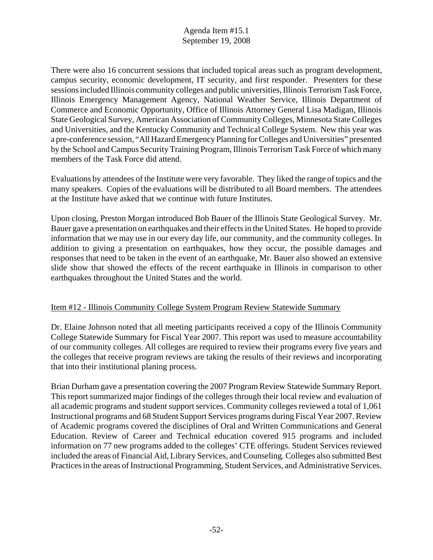There were also 16 concurrent sessions that included topical areas such as program development, campus security, economic development, IT security, and first responder. Presenters for these sessions included Illinois community colleges and public universities, Illinois Terrorism Task Force, Illinois Emergency Management Agency, National Weather Service, Illinois Department of Commerce and Economic Opportunity, Office of Illinois Attorney General Lisa Madigan, Illinois State Geological Survey, American Association of Community Colleges, Minnesota State Colleges and Universities, and the Kentucky Community and Technical College System. New this year was a pre-conference session, "All Hazard Emergency Planning for Colleges and Universities" presented by the School and Campus Security Training Program, Illinois Terrorism Task Force of which many members of the Task Force did attend.

Evaluations by attendees of the Institute were very favorable. They liked the range of topics and the many speakers. Copies of the evaluations will be distributed to all Board members. The attendees at the Institute have asked that we continue with future Institutes.

Upon closing, Preston Morgan introduced Bob Bauer of the Illinois State Geological Survey. Mr. Bauer gave a presentation on earthquakes and their effects in the United States. He hoped to provide information that we may use in our every day life, our community, and the community colleges. In addition to giving a presentation on earthquakes, how they occur, the possible damages and responses that need to be taken in the event of an earthquake, Mr. Bauer also showed an extensive slide show that showed the effects of the recent earthquake in Illinois in comparison to other earthquakes throughout the United States and the world.

#### Item #12 - Illinois Community College System Program Review Statewide Summary

Dr. Elaine Johnson noted that all meeting participants received a copy of the Illinois Community College Statewide Summary for Fiscal Year 2007. This report was used to measure accountability of our community colleges. All colleges are required to review their programs every five years and the colleges that receive program reviews are taking the results of their reviews and incorporating that into their institutional planing process.

Brian Durham gave a presentation covering the 2007 Program Review Statewide Summary Report. This report summarized major findings of the colleges through their local review and evaluation of all academic programs and student support services. Community colleges reviewed a total of 1,061 Instructional programs and 68 Student Support Services programs during Fiscal Year 2007. Review of Academic programs covered the disciplines of Oral and Written Communications and General Education. Review of Career and Technical education covered 915 programs and included information on 77 new programs added to the colleges' CTE offerings. Student Services reviewed included the areas of Financial Aid, Library Services, and Counseling. Colleges also submitted Best Practices in the areas of Instructional Programming, Student Services, and Administrative Services.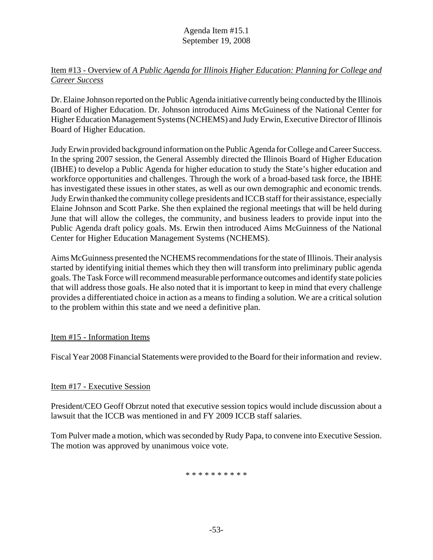# Item #13 - Overview of *A Public Agenda for Illinois Higher Education: Planning for College and Career Success*

Dr. Elaine Johnson reported on the Public Agenda initiative currently being conducted by the Illinois Board of Higher Education. Dr. Johnson introduced Aims McGuiness of the National Center for Higher Education Management Systems (NCHEMS) and Judy Erwin, Executive Director of Illinois Board of Higher Education.

Judy Erwin provided background information on the Public Agenda for College and Career Success. In the spring 2007 session, the General Assembly directed the Illinois Board of Higher Education (IBHE) to develop a Public Agenda for higher education to study the State's higher education and workforce opportunities and challenges. Through the work of a broad-based task force, the IBHE has investigated these issues in other states, as well as our own demographic and economic trends. Judy Erwin thanked the community college presidents and ICCB staff for their assistance, especially Elaine Johnson and Scott Parke. She then explained the regional meetings that will be held during June that will allow the colleges, the community, and business leaders to provide input into the Public Agenda draft policy goals. Ms. Erwin then introduced Aims McGuinness of the National Center for Higher Education Management Systems (NCHEMS).

Aims McGuinness presented the NCHEMS recommendations for the state of Illinois. Their analysis started by identifying initial themes which they then will transform into preliminary public agenda goals. The Task Force will recommend measurable performance outcomes and identify state policies that will address those goals. He also noted that it is important to keep in mind that every challenge provides a differentiated choice in action as a means to finding a solution. We are a critical solution to the problem within this state and we need a definitive plan.

# Item #15 - Information Items

Fiscal Year 2008 Financial Statements were provided to the Board for their information and review.

# Item #17 - Executive Session

President/CEO Geoff Obrzut noted that executive session topics would include discussion about a lawsuit that the ICCB was mentioned in and FY 2009 ICCB staff salaries.

Tom Pulver made a motion, which was seconded by Rudy Papa, to convene into Executive Session. The motion was approved by unanimous voice vote.

\* \* \* \* \* \* \* \* \* \*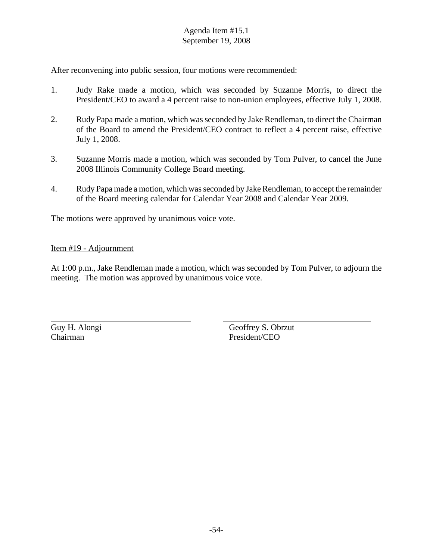After reconvening into public session, four motions were recommended:

- 1. Judy Rake made a motion, which was seconded by Suzanne Morris, to direct the President/CEO to award a 4 percent raise to non-union employees, effective July 1, 2008.
- 2. Rudy Papa made a motion, which was seconded by Jake Rendleman, to direct the Chairman of the Board to amend the President/CEO contract to reflect a 4 percent raise, effective July 1, 2008.
- 3. Suzanne Morris made a motion, which was seconded by Tom Pulver, to cancel the June 2008 Illinois Community College Board meeting.
- 4. Rudy Papa made a motion, which was seconded by Jake Rendleman, to accept the remainder of the Board meeting calendar for Calendar Year 2008 and Calendar Year 2009.

The motions were approved by unanimous voice vote.

#### Item #19 - Adjournment

At 1:00 p.m., Jake Rendleman made a motion, which was seconded by Tom Pulver, to adjourn the meeting. The motion was approved by unanimous voice vote.

Guy H. Alongi Geoffrey S. Obrzut Chairman President/CEO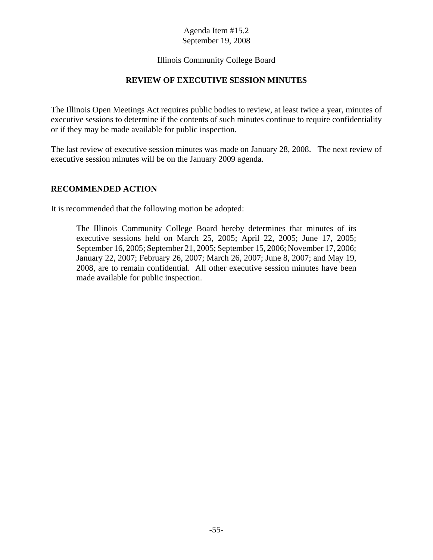#### Illinois Community College Board

#### **REVIEW OF EXECUTIVE SESSION MINUTES**

The Illinois Open Meetings Act requires public bodies to review, at least twice a year, minutes of executive sessions to determine if the contents of such minutes continue to require confidentiality or if they may be made available for public inspection.

The last review of executive session minutes was made on January 28, 2008. The next review of executive session minutes will be on the January 2009 agenda.

#### **RECOMMENDED ACTION**

It is recommended that the following motion be adopted:

The Illinois Community College Board hereby determines that minutes of its executive sessions held on March 25, 2005; April 22, 2005; June 17, 2005; September 16, 2005; September 21, 2005; September 15, 2006; November 17, 2006; January 22, 2007; February 26, 2007; March 26, 2007; June 8, 2007; and May 19, 2008, are to remain confidential. All other executive session minutes have been made available for public inspection.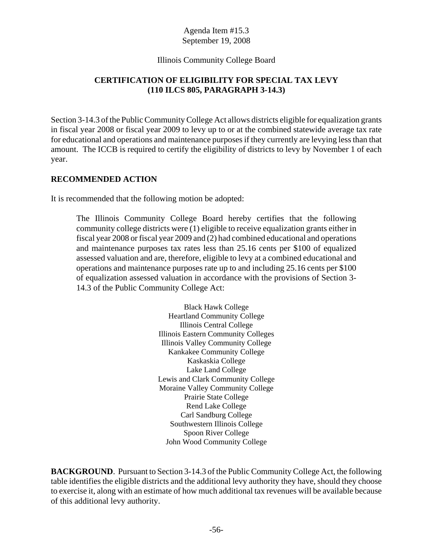#### Illinois Community College Board

# **CERTIFICATION OF ELIGIBILITY FOR SPECIAL TAX LEVY (110 ILCS 805, PARAGRAPH 3-14.3)**

Section 3-14.3 of the Public Community College Act allows districts eligible for equalization grants in fiscal year 2008 or fiscal year 2009 to levy up to or at the combined statewide average tax rate for educational and operations and maintenance purposes if they currently are levying less than that amount. The ICCB is required to certify the eligibility of districts to levy by November 1 of each year.

#### **RECOMMENDED ACTION**

It is recommended that the following motion be adopted:

The Illinois Community College Board hereby certifies that the following community college districts were (1) eligible to receive equalization grants either in fiscal year 2008 or fiscal year 2009 and (2) had combined educational and operations and maintenance purposes tax rates less than 25.16 cents per \$100 of equalized assessed valuation and are, therefore, eligible to levy at a combined educational and operations and maintenance purposes rate up to and including 25.16 cents per \$100 of equalization assessed valuation in accordance with the provisions of Section 3- 14.3 of the Public Community College Act:

> Black Hawk College Heartland Community College Illinois Central College Illinois Eastern Community Colleges Illinois Valley Community College Kankakee Community College Kaskaskia College Lake Land College Lewis and Clark Community College Moraine Valley Community College Prairie State College Rend Lake College Carl Sandburg College Southwestern Illinois College Spoon River College John Wood Community College

**BACKGROUND**. Pursuant to Section 3-14.3 of the Public Community College Act, the following table identifies the eligible districts and the additional levy authority they have, should they choose to exercise it, along with an estimate of how much additional tax revenues will be available because of this additional levy authority.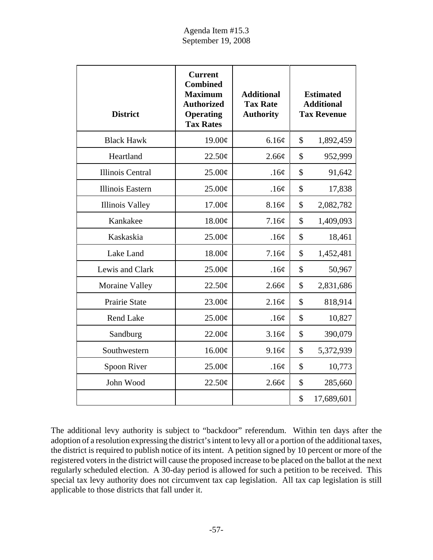| <b>District</b>         | <b>Current</b><br><b>Combined</b><br><b>Maximum</b><br><b>Authorized</b><br><b>Operating</b><br><b>Tax Rates</b> | <b>Additional</b><br><b>Tax Rate</b><br><b>Authority</b> | <b>Estimated</b><br><b>Additional</b><br><b>Tax Revenue</b> |            |
|-------------------------|------------------------------------------------------------------------------------------------------------------|----------------------------------------------------------|-------------------------------------------------------------|------------|
| <b>Black Hawk</b>       | 19.00¢                                                                                                           | 6.16¢                                                    | \$                                                          | 1,892,459  |
| Heartland               | 22.50¢                                                                                                           | 2.66¢                                                    | \$                                                          | 952,999    |
| <b>Illinois Central</b> | 25.00¢                                                                                                           | .16¢                                                     | \$                                                          | 91,642     |
| <b>Illinois Eastern</b> | $25.00\text{\e}$                                                                                                 | .16¢                                                     | \$                                                          | 17,838     |
| <b>Illinois Valley</b>  | 17.00¢                                                                                                           | 8.16¢                                                    | \$                                                          | 2,082,782  |
| Kankakee                | 18.00¢                                                                                                           | 7.16¢                                                    | \$                                                          | 1,409,093  |
| Kaskaskia               | 25.00¢                                                                                                           | .16¢                                                     | \$                                                          | 18,461     |
| Lake Land               | 18.00¢                                                                                                           | 7.16¢                                                    | \$                                                          | 1,452,481  |
| Lewis and Clark         | 25.00¢                                                                                                           | .16¢                                                     | \$                                                          | 50,967     |
| <b>Moraine Valley</b>   | 22.50¢                                                                                                           | 2.66¢                                                    | \$                                                          | 2,831,686  |
| Prairie State           | 23.00¢                                                                                                           | 2.16¢                                                    | $\mathcal{S}$                                               | 818,914    |
| <b>Rend Lake</b>        | 25.00¢                                                                                                           | .16¢                                                     | \$                                                          | 10,827     |
| Sandburg                | 22.00¢                                                                                                           | 3.16¢                                                    | \$                                                          | 390,079    |
| Southwestern            | 16.00¢                                                                                                           | 9.16¢                                                    | \$                                                          | 5,372,939  |
| Spoon River             | 25.00¢                                                                                                           | .16¢                                                     | \$                                                          | 10,773     |
| John Wood               | 22.50¢                                                                                                           | 2.66¢                                                    | \$                                                          | 285,660    |
|                         |                                                                                                                  |                                                          | \$                                                          | 17,689,601 |

The additional levy authority is subject to "backdoor" referendum. Within ten days after the adoption of a resolution expressing the district's intent to levy all or a portion of the additional taxes, the district is required to publish notice of its intent. A petition signed by 10 percent or more of the registered voters in the district will cause the proposed increase to be placed on the ballot at the next regularly scheduled election. A 30-day period is allowed for such a petition to be received. This special tax levy authority does not circumvent tax cap legislation. All tax cap legislation is still applicable to those districts that fall under it.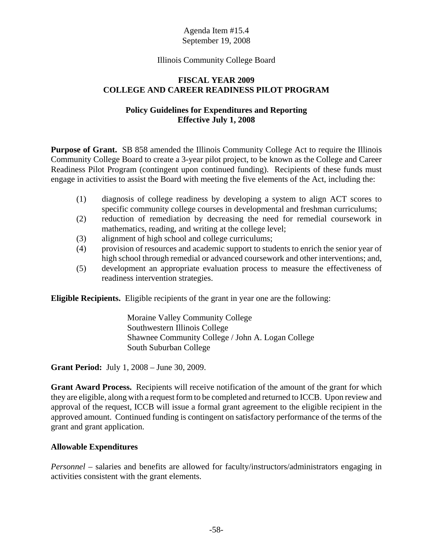#### Illinois Community College Board

#### **FISCAL YEAR 2009 COLLEGE AND CAREER READINESS PILOT PROGRAM**

#### **Policy Guidelines for Expenditures and Reporting Effective July 1, 2008**

**Purpose of Grant.** SB 858 amended the Illinois Community College Act to require the Illinois Community College Board to create a 3-year pilot project, to be known as the College and Career Readiness Pilot Program (contingent upon continued funding). Recipients of these funds must engage in activities to assist the Board with meeting the five elements of the Act, including the:

- (1) diagnosis of college readiness by developing a system to align ACT scores to specific community college courses in developmental and freshman curriculums;
- (2) reduction of remediation by decreasing the need for remedial coursework in mathematics, reading, and writing at the college level;
- (3) alignment of high school and college curriculums;
- (4) provision of resources and academic support to students to enrich the senior year of high school through remedial or advanced coursework and other interventions; and,
- (5) development an appropriate evaluation process to measure the effectiveness of readiness intervention strategies.

**Eligible Recipients.** Eligible recipients of the grant in year one are the following:

Moraine Valley Community College Southwestern Illinois College Shawnee Community College / John A. Logan College South Suburban College

**Grant Period:** July 1, 2008 – June 30, 2009.

**Grant Award Process.** Recipients will receive notification of the amount of the grant for which they are eligible, along with a request form to be completed and returned to ICCB. Upon review and approval of the request, ICCB will issue a formal grant agreement to the eligible recipient in the approved amount. Continued funding is contingent on satisfactory performance of the terms of the grant and grant application.

#### **Allowable Expenditures**

*Personnel* – salaries and benefits are allowed for faculty/instructors/administrators engaging in activities consistent with the grant elements.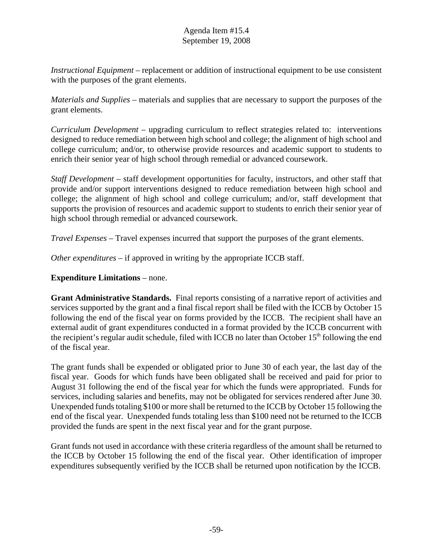*Instructional Equipment* – replacement or addition of instructional equipment to be use consistent with the purposes of the grant elements.

*Materials and Supplies* – materials and supplies that are necessary to support the purposes of the grant elements.

*Curriculum Development* – upgrading curriculum to reflect strategies related to: interventions designed to reduce remediation between high school and college; the alignment of high school and college curriculum; and/or, to otherwise provide resources and academic support to students to enrich their senior year of high school through remedial or advanced coursework.

*Staff Development* – staff development opportunities for faculty, instructors, and other staff that provide and/or support interventions designed to reduce remediation between high school and college; the alignment of high school and college curriculum; and/or, staff development that supports the provision of resources and academic support to students to enrich their senior year of high school through remedial or advanced coursework.

*Travel Expenses* – Travel expenses incurred that support the purposes of the grant elements.

*Other expenditures* – if approved in writing by the appropriate ICCB staff.

#### **Expenditure Limitations** – none.

**Grant Administrative Standards.** Final reports consisting of a narrative report of activities and services supported by the grant and a final fiscal report shall be filed with the ICCB by October 15 following the end of the fiscal year on forms provided by the ICCB. The recipient shall have an external audit of grant expenditures conducted in a format provided by the ICCB concurrent with the recipient's regular audit schedule, filed with ICCB no later than October  $15<sup>th</sup>$  following the end of the fiscal year.

The grant funds shall be expended or obligated prior to June 30 of each year, the last day of the fiscal year. Goods for which funds have been obligated shall be received and paid for prior to August 31 following the end of the fiscal year for which the funds were appropriated. Funds for services, including salaries and benefits, may not be obligated for services rendered after June 30. Unexpended funds totaling \$100 or more shall be returned to the ICCB by October 15 following the end of the fiscal year. Unexpended funds totaling less than \$100 need not be returned to the ICCB provided the funds are spent in the next fiscal year and for the grant purpose.

Grant funds not used in accordance with these criteria regardless of the amount shall be returned to the ICCB by October 15 following the end of the fiscal year. Other identification of improper expenditures subsequently verified by the ICCB shall be returned upon notification by the ICCB.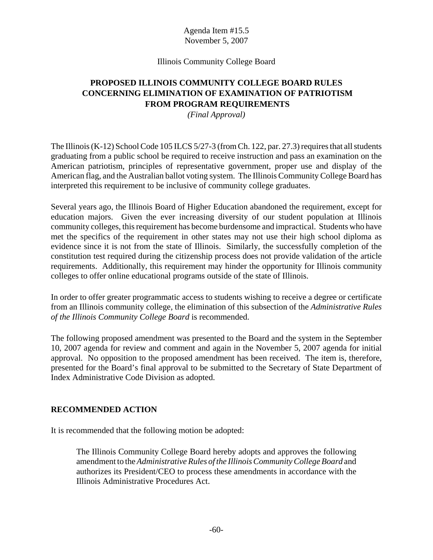#### Agenda Item #15.5 November 5, 2007

#### Illinois Community College Board

# **PROPOSED ILLINOIS COMMUNITY COLLEGE BOARD RULES CONCERNING ELIMINATION OF EXAMINATION OF PATRIOTISM FROM PROGRAM REQUIREMENTS**

*(Final Approval)*

The Illinois (K-12) School Code 105 ILCS 5/27-3 (from Ch. 122, par. 27.3) requires that all students graduating from a public school be required to receive instruction and pass an examination on the American patriotism, principles of representative government, proper use and display of the American flag, and the Australian ballot voting system. The Illinois Community College Board has interpreted this requirement to be inclusive of community college graduates.

Several years ago, the Illinois Board of Higher Education abandoned the requirement, except for education majors. Given the ever increasing diversity of our student population at Illinois community colleges, this requirement has become burdensome and impractical. Students who have met the specifics of the requirement in other states may not use their high school diploma as evidence since it is not from the state of Illinois. Similarly, the successfully completion of the constitution test required during the citizenship process does not provide validation of the article requirements. Additionally, this requirement may hinder the opportunity for Illinois community colleges to offer online educational programs outside of the state of Illinois.

In order to offer greater programmatic access to students wishing to receive a degree or certificate from an Illinois community college, the elimination of this subsection of the *Administrative Rules of the Illinois Community College Board* is recommended.

The following proposed amendment was presented to the Board and the system in the September 10, 2007 agenda for review and comment and again in the November 5, 2007 agenda for initial approval. No opposition to the proposed amendment has been received. The item is, therefore, presented for the Board's final approval to be submitted to the Secretary of State Department of Index Administrative Code Division as adopted.

#### **RECOMMENDED ACTION**

It is recommended that the following motion be adopted:

The Illinois Community College Board hereby adopts and approves the following amendment to the *Administrative Rules of the Illinois Community College Board* and authorizes its President/CEO to process these amendments in accordance with the Illinois Administrative Procedures Act.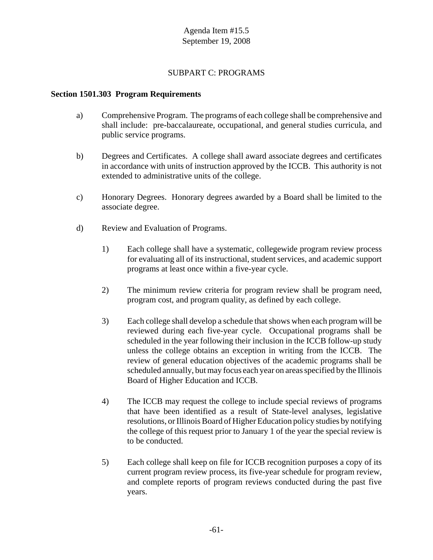#### SUBPART C: PROGRAMS

#### **Section 1501.303 Program Requirements**

- a) Comprehensive Program. The programs of each college shall be comprehensive and shall include: pre-baccalaureate, occupational, and general studies curricula, and public service programs.
- b) Degrees and Certificates. A college shall award associate degrees and certificates in accordance with units of instruction approved by the ICCB. This authority is not extended to administrative units of the college.
- c) Honorary Degrees. Honorary degrees awarded by a Board shall be limited to the associate degree.
- d) Review and Evaluation of Programs.
	- 1) Each college shall have a systematic, collegewide program review process for evaluating all of its instructional, student services, and academic support programs at least once within a five-year cycle.
	- 2) The minimum review criteria for program review shall be program need, program cost, and program quality, as defined by each college.
	- 3) Each college shall develop a schedule that shows when each program will be reviewed during each five-year cycle. Occupational programs shall be scheduled in the year following their inclusion in the ICCB follow-up study unless the college obtains an exception in writing from the ICCB. The review of general education objectives of the academic programs shall be scheduled annually, but may focus each year on areas specified by the Illinois Board of Higher Education and ICCB.
	- 4) The ICCB may request the college to include special reviews of programs that have been identified as a result of State-level analyses, legislative resolutions, or Illinois Board of Higher Education policy studies by notifying the college of this request prior to January 1 of the year the special review is to be conducted.
	- 5) Each college shall keep on file for ICCB recognition purposes a copy of its current program review process, its five-year schedule for program review, and complete reports of program reviews conducted during the past five years.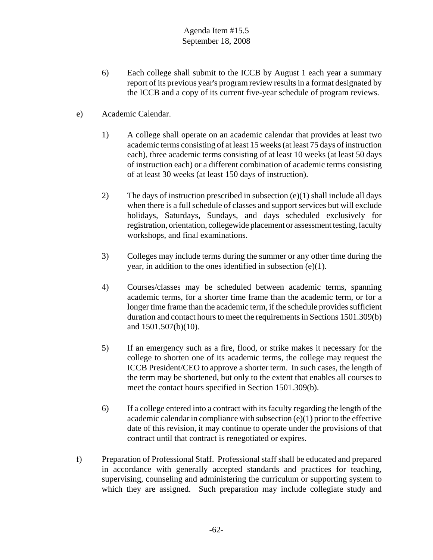- 6) Each college shall submit to the ICCB by August 1 each year a summary report of its previous year's program review results in a format designated by the ICCB and a copy of its current five-year schedule of program reviews.
- e) Academic Calendar.
	- 1) A college shall operate on an academic calendar that provides at least two academic terms consisting of at least 15 weeks (at least 75 days of instruction each), three academic terms consisting of at least 10 weeks (at least 50 days of instruction each) or a different combination of academic terms consisting of at least 30 weeks (at least 150 days of instruction).
	- 2) The days of instruction prescribed in subsection (e)(1) shall include all days when there is a full schedule of classes and support services but will exclude holidays, Saturdays, Sundays, and days scheduled exclusively for registration, orientation, collegewide placement or assessment testing, faculty workshops, and final examinations.
	- 3) Colleges may include terms during the summer or any other time during the year, in addition to the ones identified in subsection (e)(1).
	- 4) Courses/classes may be scheduled between academic terms, spanning academic terms, for a shorter time frame than the academic term, or for a longer time frame than the academic term, if the schedule provides sufficient duration and contact hours to meet the requirements in Sections 1501.309(b) and 1501.507(b)(10).
	- 5) If an emergency such as a fire, flood, or strike makes it necessary for the college to shorten one of its academic terms, the college may request the ICCB President/CEO to approve a shorter term. In such cases, the length of the term may be shortened, but only to the extent that enables all courses to meet the contact hours specified in Section 1501.309(b).
	- 6) If a college entered into a contract with its faculty regarding the length of the academic calendar in compliance with subsection (e)(1) prior to the effective date of this revision, it may continue to operate under the provisions of that contract until that contract is renegotiated or expires.
- f) Preparation of Professional Staff. Professional staff shall be educated and prepared in accordance with generally accepted standards and practices for teaching, supervising, counseling and administering the curriculum or supporting system to which they are assigned. Such preparation may include collegiate study and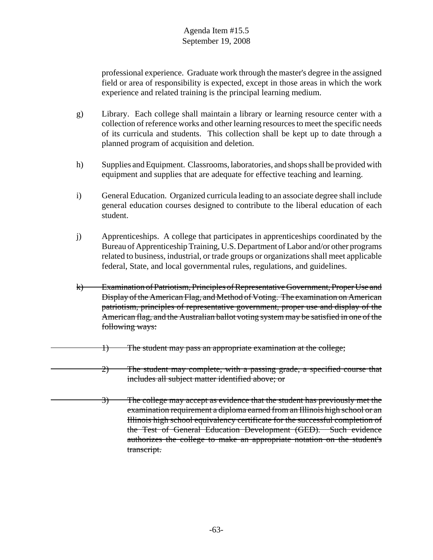professional experience. Graduate work through the master's degree in the assigned field or area of responsibility is expected, except in those areas in which the work experience and related training is the principal learning medium.

- g) Library. Each college shall maintain a library or learning resource center with a collection of reference works and other learning resources to meet the specific needs of its curricula and students. This collection shall be kept up to date through a planned program of acquisition and deletion.
- h) Supplies and Equipment. Classrooms, laboratories, and shops shall be provided with equipment and supplies that are adequate for effective teaching and learning.
- i) General Education. Organized curricula leading to an associate degree shall include general education courses designed to contribute to the liberal education of each student.
- j) Apprenticeships. A college that participates in apprenticeships coordinated by the Bureau of Apprenticeship Training, U.S. Department of Labor and/or other programs related to business, industrial, or trade groups or organizations shall meet applicable federal, State, and local governmental rules, regulations, and guidelines.
- k) Examination of Patriotism, Principles of Representative Government, Proper Use and Display of the American Flag, and Method of Voting. The examination on American patriotism, principles of representative government, proper use and display of the American flag, and the Australian ballot voting system may be satisfied in one of the following ways:
	- 1) The student may pass an appropriate examination at the college;
	- 2) The student may complete, with a passing grade, a specified course that includes all subject matter identified above; or
- 3) The college may accept as evidence that the student has previously met the examination requirement a diploma earned from an Illinois high school or an Illinois high school equivalency certificate for the successful completion of the Test of General Education Development (GED). Such evidence authorizes the college to make an appropriate notation on the student's transcript.